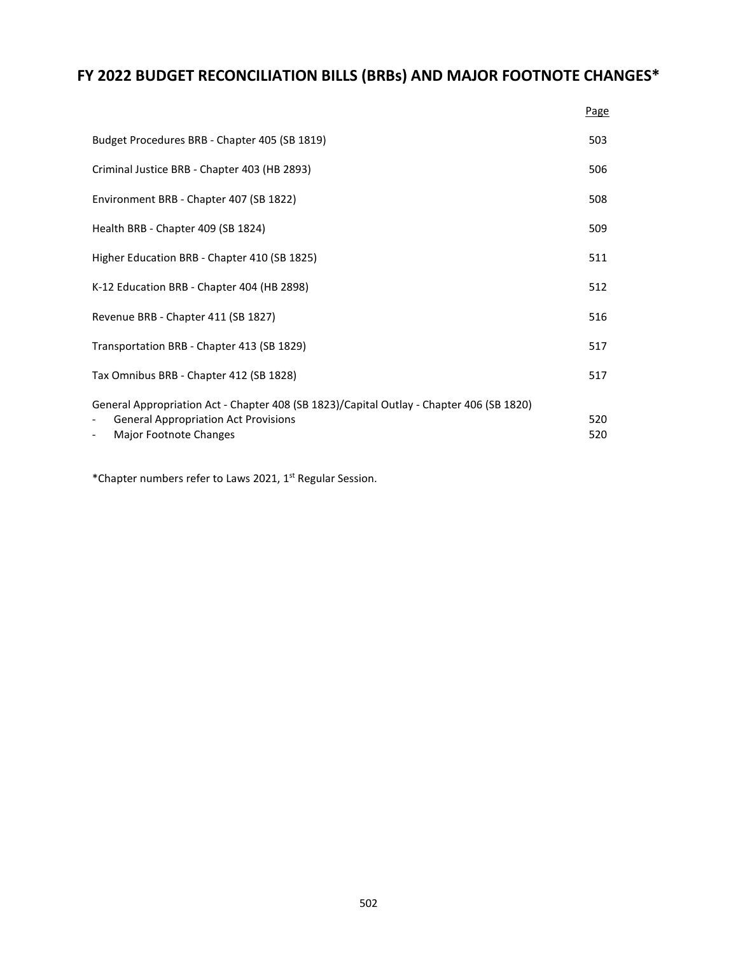# **FY 2022 BUDGET RECONCILIATION BILLS (BRBs) AND MAJOR FOOTNOTE CHANGES\***

|                                                                                                                                                                   | Page       |
|-------------------------------------------------------------------------------------------------------------------------------------------------------------------|------------|
| Budget Procedures BRB - Chapter 405 (SB 1819)                                                                                                                     | 503        |
| Criminal Justice BRB - Chapter 403 (HB 2893)                                                                                                                      | 506        |
| Environment BRB - Chapter 407 (SB 1822)                                                                                                                           | 508        |
| Health BRB - Chapter 409 (SB 1824)                                                                                                                                | 509        |
| Higher Education BRB - Chapter 410 (SB 1825)                                                                                                                      | 511        |
| K-12 Education BRB - Chapter 404 (HB 2898)                                                                                                                        | 512        |
| Revenue BRB - Chapter 411 (SB 1827)                                                                                                                               | 516        |
| Transportation BRB - Chapter 413 (SB 1829)                                                                                                                        | 517        |
| Tax Omnibus BRB - Chapter 412 (SB 1828)                                                                                                                           | 517        |
| General Appropriation Act - Chapter 408 (SB 1823)/Capital Outlay - Chapter 406 (SB 1820)<br><b>General Appropriation Act Provisions</b><br>Major Footnote Changes | 520<br>520 |

\*Chapter numbers refer to Laws 2021, 1st Regular Session.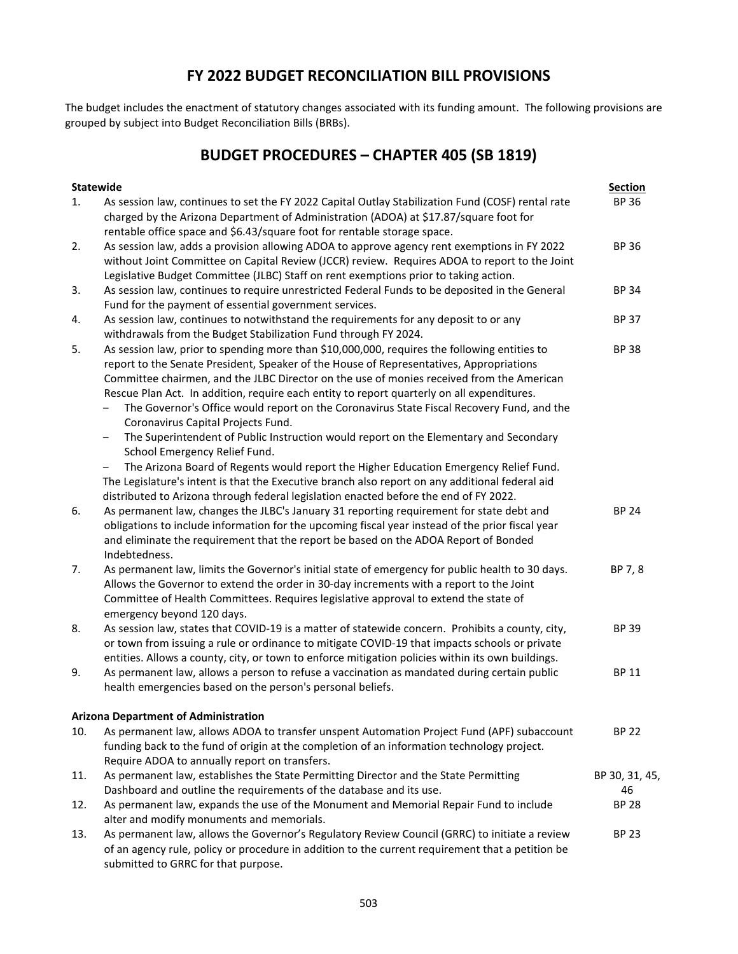### **FY 2022 BUDGET RECONCILIATION BILL PROVISIONS**

The budget includes the enactment of statutory changes associated with its funding amount. The following provisions are grouped by subject into Budget Reconciliation Bills (BRBs).

## **BUDGET PROCEDURES – CHAPTER 405 (SB 1819)**

| <b>Statewide</b> |                                                                                                                                                                                                                                                                                                                                                                                                                                                                                                                                                                                                                                                                                                                                                                                                                                                                                                                                                                                                                                       | <b>Section</b>               |
|------------------|---------------------------------------------------------------------------------------------------------------------------------------------------------------------------------------------------------------------------------------------------------------------------------------------------------------------------------------------------------------------------------------------------------------------------------------------------------------------------------------------------------------------------------------------------------------------------------------------------------------------------------------------------------------------------------------------------------------------------------------------------------------------------------------------------------------------------------------------------------------------------------------------------------------------------------------------------------------------------------------------------------------------------------------|------------------------------|
| 1.               | As session law, continues to set the FY 2022 Capital Outlay Stabilization Fund (COSF) rental rate<br>charged by the Arizona Department of Administration (ADOA) at \$17.87/square foot for<br>rentable office space and \$6.43/square foot for rentable storage space.                                                                                                                                                                                                                                                                                                                                                                                                                                                                                                                                                                                                                                                                                                                                                                | <b>BP 36</b>                 |
| 2.               | As session law, adds a provision allowing ADOA to approve agency rent exemptions in FY 2022<br>without Joint Committee on Capital Review (JCCR) review. Requires ADOA to report to the Joint<br>Legislative Budget Committee (JLBC) Staff on rent exemptions prior to taking action.                                                                                                                                                                                                                                                                                                                                                                                                                                                                                                                                                                                                                                                                                                                                                  | <b>BP 36</b>                 |
| 3.               | As session law, continues to require unrestricted Federal Funds to be deposited in the General<br>Fund for the payment of essential government services.                                                                                                                                                                                                                                                                                                                                                                                                                                                                                                                                                                                                                                                                                                                                                                                                                                                                              | <b>BP 34</b>                 |
| 4.               | As session law, continues to notwithstand the requirements for any deposit to or any<br>withdrawals from the Budget Stabilization Fund through FY 2024.                                                                                                                                                                                                                                                                                                                                                                                                                                                                                                                                                                                                                                                                                                                                                                                                                                                                               | <b>BP 37</b>                 |
| 5.<br>6.         | As session law, prior to spending more than \$10,000,000, requires the following entities to<br>report to the Senate President, Speaker of the House of Representatives, Appropriations<br>Committee chairmen, and the JLBC Director on the use of monies received from the American<br>Rescue Plan Act. In addition, require each entity to report quarterly on all expenditures.<br>The Governor's Office would report on the Coronavirus State Fiscal Recovery Fund, and the<br>Coronavirus Capital Projects Fund.<br>The Superintendent of Public Instruction would report on the Elementary and Secondary<br>-<br>School Emergency Relief Fund.<br>The Arizona Board of Regents would report the Higher Education Emergency Relief Fund.<br>The Legislature's intent is that the Executive branch also report on any additional federal aid<br>distributed to Arizona through federal legislation enacted before the end of FY 2022.<br>As permanent law, changes the JLBC's January 31 reporting requirement for state debt and | <b>BP 38</b><br><b>BP 24</b> |
|                  | obligations to include information for the upcoming fiscal year instead of the prior fiscal year<br>and eliminate the requirement that the report be based on the ADOA Report of Bonded<br>Indebtedness.                                                                                                                                                                                                                                                                                                                                                                                                                                                                                                                                                                                                                                                                                                                                                                                                                              |                              |
| 7.               | As permanent law, limits the Governor's initial state of emergency for public health to 30 days.<br>Allows the Governor to extend the order in 30-day increments with a report to the Joint<br>Committee of Health Committees. Requires legislative approval to extend the state of<br>emergency beyond 120 days.                                                                                                                                                                                                                                                                                                                                                                                                                                                                                                                                                                                                                                                                                                                     | BP 7, 8                      |
| 8.               | As session law, states that COVID-19 is a matter of statewide concern. Prohibits a county, city,<br>or town from issuing a rule or ordinance to mitigate COVID-19 that impacts schools or private<br>entities. Allows a county, city, or town to enforce mitigation policies within its own buildings.                                                                                                                                                                                                                                                                                                                                                                                                                                                                                                                                                                                                                                                                                                                                | <b>BP 39</b>                 |
| 9.               | As permanent law, allows a person to refuse a vaccination as mandated during certain public<br>health emergencies based on the person's personal beliefs.                                                                                                                                                                                                                                                                                                                                                                                                                                                                                                                                                                                                                                                                                                                                                                                                                                                                             | <b>BP 11</b>                 |
|                  | <b>Arizona Department of Administration</b>                                                                                                                                                                                                                                                                                                                                                                                                                                                                                                                                                                                                                                                                                                                                                                                                                                                                                                                                                                                           |                              |
| 10.              | As permanent law, allows ADOA to transfer unspent Automation Project Fund (APF) subaccount<br>funding back to the fund of origin at the completion of an information technology project.<br>Require ADOA to annually report on transfers.                                                                                                                                                                                                                                                                                                                                                                                                                                                                                                                                                                                                                                                                                                                                                                                             | <b>BP 22</b>                 |
| 11.              | As permanent law, establishes the State Permitting Director and the State Permitting                                                                                                                                                                                                                                                                                                                                                                                                                                                                                                                                                                                                                                                                                                                                                                                                                                                                                                                                                  | BP 30, 31, 45,               |
|                  | Dashboard and outline the requirements of the database and its use.                                                                                                                                                                                                                                                                                                                                                                                                                                                                                                                                                                                                                                                                                                                                                                                                                                                                                                                                                                   | 46                           |
| 12.              | As permanent law, expands the use of the Monument and Memorial Repair Fund to include<br>alter and modify monuments and memorials.                                                                                                                                                                                                                                                                                                                                                                                                                                                                                                                                                                                                                                                                                                                                                                                                                                                                                                    | <b>BP 28</b>                 |
| 13.              | As permanent law, allows the Governor's Regulatory Review Council (GRRC) to initiate a review<br>of an agency rule, policy or procedure in addition to the current requirement that a petition be<br>submitted to GRRC for that purpose.                                                                                                                                                                                                                                                                                                                                                                                                                                                                                                                                                                                                                                                                                                                                                                                              | <b>BP 23</b>                 |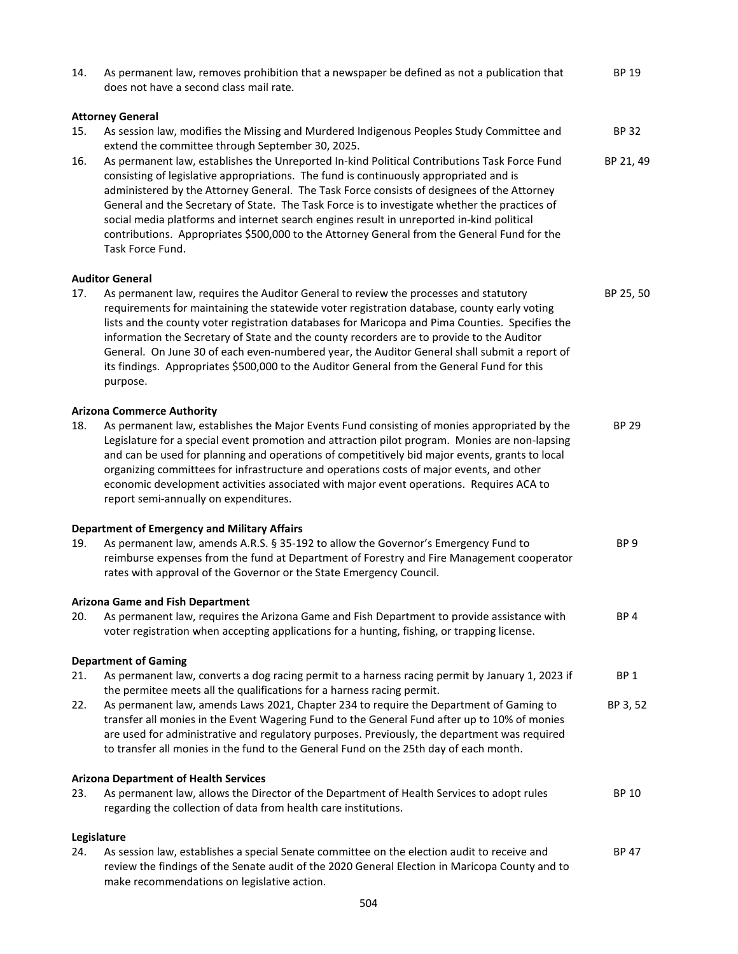| 14. | As permanent law, removes prohibition that a newspaper be defined as not a publication that<br>does not have a second class mail rate.                                                                                                                                                                                                                                                                                                                                                                                                                                                                | <b>BP 19</b>    |
|-----|-------------------------------------------------------------------------------------------------------------------------------------------------------------------------------------------------------------------------------------------------------------------------------------------------------------------------------------------------------------------------------------------------------------------------------------------------------------------------------------------------------------------------------------------------------------------------------------------------------|-----------------|
|     | <b>Attorney General</b>                                                                                                                                                                                                                                                                                                                                                                                                                                                                                                                                                                               |                 |
| 15. | As session law, modifies the Missing and Murdered Indigenous Peoples Study Committee and<br>extend the committee through September 30, 2025.                                                                                                                                                                                                                                                                                                                                                                                                                                                          | <b>BP 32</b>    |
| 16. | As permanent law, establishes the Unreported In-kind Political Contributions Task Force Fund<br>consisting of legislative appropriations. The fund is continuously appropriated and is<br>administered by the Attorney General. The Task Force consists of designees of the Attorney<br>General and the Secretary of State. The Task Force is to investigate whether the practices of<br>social media platforms and internet search engines result in unreported in-kind political<br>contributions. Appropriates \$500,000 to the Attorney General from the General Fund for the<br>Task Force Fund. | BP 21, 49       |
|     | <b>Auditor General</b>                                                                                                                                                                                                                                                                                                                                                                                                                                                                                                                                                                                |                 |
| 17. | As permanent law, requires the Auditor General to review the processes and statutory<br>requirements for maintaining the statewide voter registration database, county early voting<br>lists and the county voter registration databases for Maricopa and Pima Counties. Specifies the<br>information the Secretary of State and the county recorders are to provide to the Auditor<br>General. On June 30 of each even-numbered year, the Auditor General shall submit a report of<br>its findings. Appropriates \$500,000 to the Auditor General from the General Fund for this<br>purpose.         | BP 25, 50       |
|     | <b>Arizona Commerce Authority</b>                                                                                                                                                                                                                                                                                                                                                                                                                                                                                                                                                                     |                 |
| 18. | As permanent law, establishes the Major Events Fund consisting of monies appropriated by the<br>Legislature for a special event promotion and attraction pilot program. Monies are non-lapsing<br>and can be used for planning and operations of competitively bid major events, grants to local<br>organizing committees for infrastructure and operations costs of major events, and other<br>economic development activities associated with major event operations. Requires ACA to<br>report semi-annually on expenditures.                                                                      | <b>BP 29</b>    |
|     | <b>Department of Emergency and Military Affairs</b>                                                                                                                                                                                                                                                                                                                                                                                                                                                                                                                                                   |                 |
| 19. | As permanent law, amends A.R.S. § 35-192 to allow the Governor's Emergency Fund to<br>reimburse expenses from the fund at Department of Forestry and Fire Management cooperator<br>rates with approval of the Governor or the State Emergency Council.                                                                                                                                                                                                                                                                                                                                                | BP <sub>9</sub> |
|     | <b>Arizona Game and Fish Department</b>                                                                                                                                                                                                                                                                                                                                                                                                                                                                                                                                                               |                 |
| 20. | As permanent law, requires the Arizona Game and Fish Department to provide assistance with<br>voter registration when accepting applications for a hunting, fishing, or trapping license.                                                                                                                                                                                                                                                                                                                                                                                                             | BP <sub>4</sub> |
|     | <b>Department of Gaming</b>                                                                                                                                                                                                                                                                                                                                                                                                                                                                                                                                                                           |                 |
| 21. | As permanent law, converts a dog racing permit to a harness racing permit by January 1, 2023 if<br>the permitee meets all the qualifications for a harness racing permit.                                                                                                                                                                                                                                                                                                                                                                                                                             | BP <sub>1</sub> |
| 22. | As permanent law, amends Laws 2021, Chapter 234 to require the Department of Gaming to<br>transfer all monies in the Event Wagering Fund to the General Fund after up to 10% of monies<br>are used for administrative and regulatory purposes. Previously, the department was required<br>to transfer all monies in the fund to the General Fund on the 25th day of each month.                                                                                                                                                                                                                       | BP 3, 52        |
|     | <b>Arizona Department of Health Services</b>                                                                                                                                                                                                                                                                                                                                                                                                                                                                                                                                                          |                 |
| 23. | As permanent law, allows the Director of the Department of Health Services to adopt rules<br>regarding the collection of data from health care institutions.                                                                                                                                                                                                                                                                                                                                                                                                                                          | BP 10           |
|     | Legislature                                                                                                                                                                                                                                                                                                                                                                                                                                                                                                                                                                                           |                 |
| 24. | As session law, establishes a special Senate committee on the election audit to receive and<br>review the findings of the Senate audit of the 2020 General Election in Maricopa County and to<br>make recommendations on legislative action.                                                                                                                                                                                                                                                                                                                                                          | BP 47           |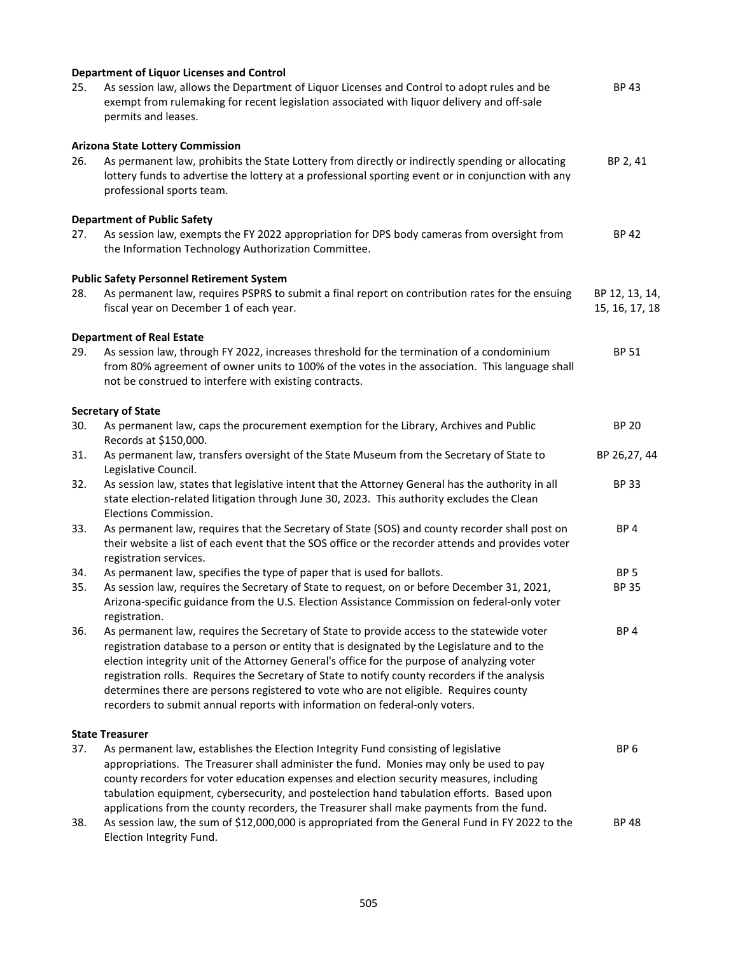| 25. | <b>Department of Liquor Licenses and Control</b><br>As session law, allows the Department of Liquor Licenses and Control to adopt rules and be<br>exempt from rulemaking for recent legislation associated with liquor delivery and off-sale<br>permits and leases.                                                                                                                                                                                                                                                                                                 | <b>BP43</b>                      |
|-----|---------------------------------------------------------------------------------------------------------------------------------------------------------------------------------------------------------------------------------------------------------------------------------------------------------------------------------------------------------------------------------------------------------------------------------------------------------------------------------------------------------------------------------------------------------------------|----------------------------------|
| 26. | <b>Arizona State Lottery Commission</b><br>As permanent law, prohibits the State Lottery from directly or indirectly spending or allocating<br>lottery funds to advertise the lottery at a professional sporting event or in conjunction with any<br>professional sports team.                                                                                                                                                                                                                                                                                      | BP 2, 41                         |
| 27. | <b>Department of Public Safety</b><br>As session law, exempts the FY 2022 appropriation for DPS body cameras from oversight from<br>the Information Technology Authorization Committee.                                                                                                                                                                                                                                                                                                                                                                             | <b>BP 42</b>                     |
| 28. | <b>Public Safety Personnel Retirement System</b><br>As permanent law, requires PSPRS to submit a final report on contribution rates for the ensuing<br>fiscal year on December 1 of each year.                                                                                                                                                                                                                                                                                                                                                                      | BP 12, 13, 14,<br>15, 16, 17, 18 |
| 29. | <b>Department of Real Estate</b><br>As session law, through FY 2022, increases threshold for the termination of a condominium<br>from 80% agreement of owner units to 100% of the votes in the association. This language shall<br>not be construed to interfere with existing contracts.                                                                                                                                                                                                                                                                           | <b>BP 51</b>                     |
|     | <b>Secretary of State</b>                                                                                                                                                                                                                                                                                                                                                                                                                                                                                                                                           |                                  |
| 30. | As permanent law, caps the procurement exemption for the Library, Archives and Public<br>Records at \$150,000.                                                                                                                                                                                                                                                                                                                                                                                                                                                      | <b>BP 20</b>                     |
| 31. | As permanent law, transfers oversight of the State Museum from the Secretary of State to<br>Legislative Council.                                                                                                                                                                                                                                                                                                                                                                                                                                                    | BP 26,27, 44                     |
| 32. | As session law, states that legislative intent that the Attorney General has the authority in all<br>state election-related litigation through June 30, 2023. This authority excludes the Clean<br>Elections Commission.                                                                                                                                                                                                                                                                                                                                            | <b>BP 33</b>                     |
| 33. | As permanent law, requires that the Secretary of State (SOS) and county recorder shall post on<br>their website a list of each event that the SOS office or the recorder attends and provides voter                                                                                                                                                                                                                                                                                                                                                                 | BP <sub>4</sub>                  |
| 34. | registration services.<br>As permanent law, specifies the type of paper that is used for ballots.                                                                                                                                                                                                                                                                                                                                                                                                                                                                   | BP <sub>5</sub>                  |
| 35. | As session law, requires the Secretary of State to request, on or before December 31, 2021,<br>Arizona-specific guidance from the U.S. Election Assistance Commission on federal-only voter<br>registration.                                                                                                                                                                                                                                                                                                                                                        | <b>BP 35</b>                     |
| 36. | As permanent law, requires the Secretary of State to provide access to the statewide voter<br>registration database to a person or entity that is designated by the Legislature and to the<br>election integrity unit of the Attorney General's office for the purpose of analyzing voter<br>registration rolls. Requires the Secretary of State to notify county recorders if the analysis<br>determines there are persons registered to vote who are not eligible. Requires county<br>recorders to submit annual reports with information on federal-only voters. | BP <sub>4</sub>                  |
|     | <b>State Treasurer</b>                                                                                                                                                                                                                                                                                                                                                                                                                                                                                                                                              |                                  |
| 37. | As permanent law, establishes the Election Integrity Fund consisting of legislative<br>appropriations. The Treasurer shall administer the fund. Monies may only be used to pay<br>county recorders for voter education expenses and election security measures, including<br>tabulation equipment, cybersecurity, and postelection hand tabulation efforts. Based upon<br>applications from the county recorders, the Treasurer shall make payments from the fund.                                                                                                  | BP <sub>6</sub>                  |
| 38. | As session law, the sum of \$12,000,000 is appropriated from the General Fund in FY 2022 to the<br>Election Integrity Fund.                                                                                                                                                                                                                                                                                                                                                                                                                                         | <b>BP 48</b>                     |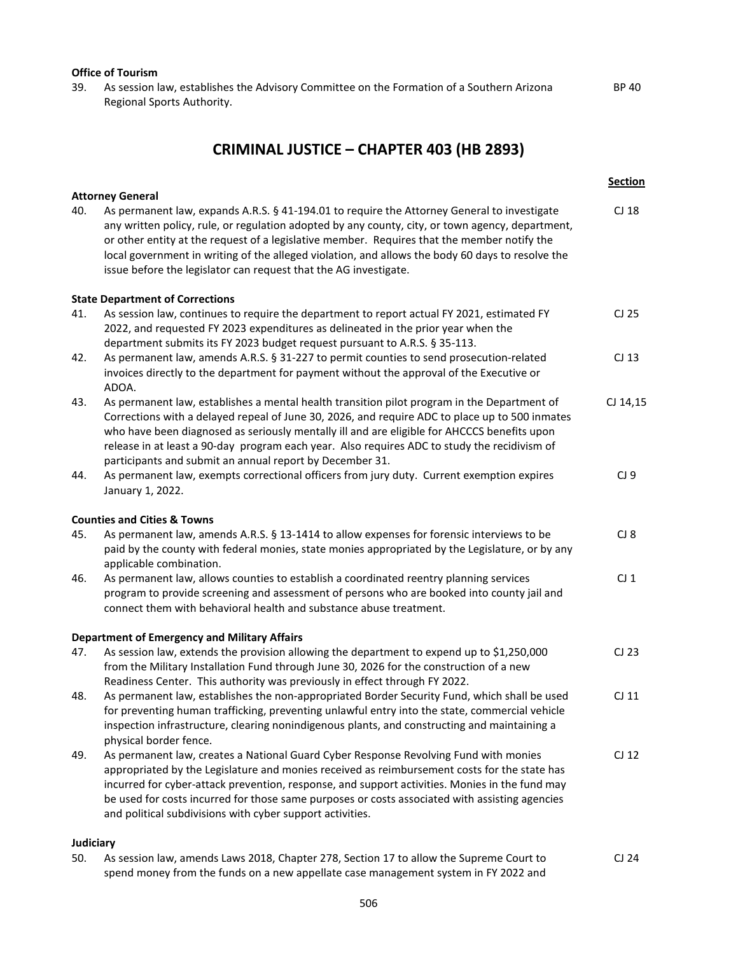#### **Office of Tourism**

39. As session law, establishes the Advisory Committee on the Formation of a Southern Arizona Regional Sports Authority.

## **CRIMINAL JUSTICE – CHAPTER 403 (HB 2893)**

BP 40

|           | <b>Attorney General</b>                                                                                                                                                                                                                                                                                                                                                                                                                                                | <b>Section</b>   |
|-----------|------------------------------------------------------------------------------------------------------------------------------------------------------------------------------------------------------------------------------------------------------------------------------------------------------------------------------------------------------------------------------------------------------------------------------------------------------------------------|------------------|
| 40.       | As permanent law, expands A.R.S. § 41-194.01 to require the Attorney General to investigate<br>any written policy, rule, or regulation adopted by any county, city, or town agency, department,<br>or other entity at the request of a legislative member. Requires that the member notify the<br>local government in writing of the alleged violation, and allows the body 60 days to resolve the<br>issue before the legislator can request that the AG investigate. | CJ 18            |
|           | <b>State Department of Corrections</b>                                                                                                                                                                                                                                                                                                                                                                                                                                 |                  |
| 41.       | As session law, continues to require the department to report actual FY 2021, estimated FY<br>2022, and requested FY 2023 expenditures as delineated in the prior year when the<br>department submits its FY 2023 budget request pursuant to A.R.S. § 35-113.                                                                                                                                                                                                          | CJ 25            |
| 42.       | As permanent law, amends A.R.S. § 31-227 to permit counties to send prosecution-related<br>invoices directly to the department for payment without the approval of the Executive or<br>ADOA.                                                                                                                                                                                                                                                                           | CJ 13            |
| 43.       | As permanent law, establishes a mental health transition pilot program in the Department of<br>Corrections with a delayed repeal of June 30, 2026, and require ADC to place up to 500 inmates<br>who have been diagnosed as seriously mentally ill and are eligible for AHCCCS benefits upon<br>release in at least a 90-day program each year. Also requires ADC to study the recidivism of<br>participants and submit an annual report by December 31.               | CJ 14,15         |
| 44.       | As permanent law, exempts correctional officers from jury duty. Current exemption expires<br>January 1, 2022.                                                                                                                                                                                                                                                                                                                                                          | CJ9              |
|           | <b>Counties and Cities &amp; Towns</b>                                                                                                                                                                                                                                                                                                                                                                                                                                 |                  |
| 45.       | As permanent law, amends A.R.S. § 13-1414 to allow expenses for forensic interviews to be<br>paid by the county with federal monies, state monies appropriated by the Legislature, or by any<br>applicable combination.                                                                                                                                                                                                                                                | CI 8             |
| 46.       | As permanent law, allows counties to establish a coordinated reentry planning services<br>program to provide screening and assessment of persons who are booked into county jail and<br>connect them with behavioral health and substance abuse treatment.                                                                                                                                                                                                             | $CJ_1$           |
|           | <b>Department of Emergency and Military Affairs</b>                                                                                                                                                                                                                                                                                                                                                                                                                    |                  |
| 47.       | As session law, extends the provision allowing the department to expend up to \$1,250,000<br>from the Military Installation Fund through June 30, 2026 for the construction of a new<br>Readiness Center. This authority was previously in effect through FY 2022.                                                                                                                                                                                                     | CJ 23            |
| 48.       | As permanent law, establishes the non-appropriated Border Security Fund, which shall be used<br>for preventing human trafficking, preventing unlawful entry into the state, commercial vehicle<br>inspection infrastructure, clearing nonindigenous plants, and constructing and maintaining a<br>physical border fence.                                                                                                                                               | $CJ$ 11          |
| 49.       | As permanent law, creates a National Guard Cyber Response Revolving Fund with monies<br>appropriated by the Legislature and monies received as reimbursement costs for the state has<br>incurred for cyber-attack prevention, response, and support activities. Monies in the fund may<br>be used for costs incurred for those same purposes or costs associated with assisting agencies<br>and political subdivisions with cyber support activities.                  | CI <sub>12</sub> |
| Judiciary |                                                                                                                                                                                                                                                                                                                                                                                                                                                                        |                  |
| 50.       | As session law, amends Laws 2018, Chapter 278, Section 17 to allow the Supreme Court to                                                                                                                                                                                                                                                                                                                                                                                | CJ 24            |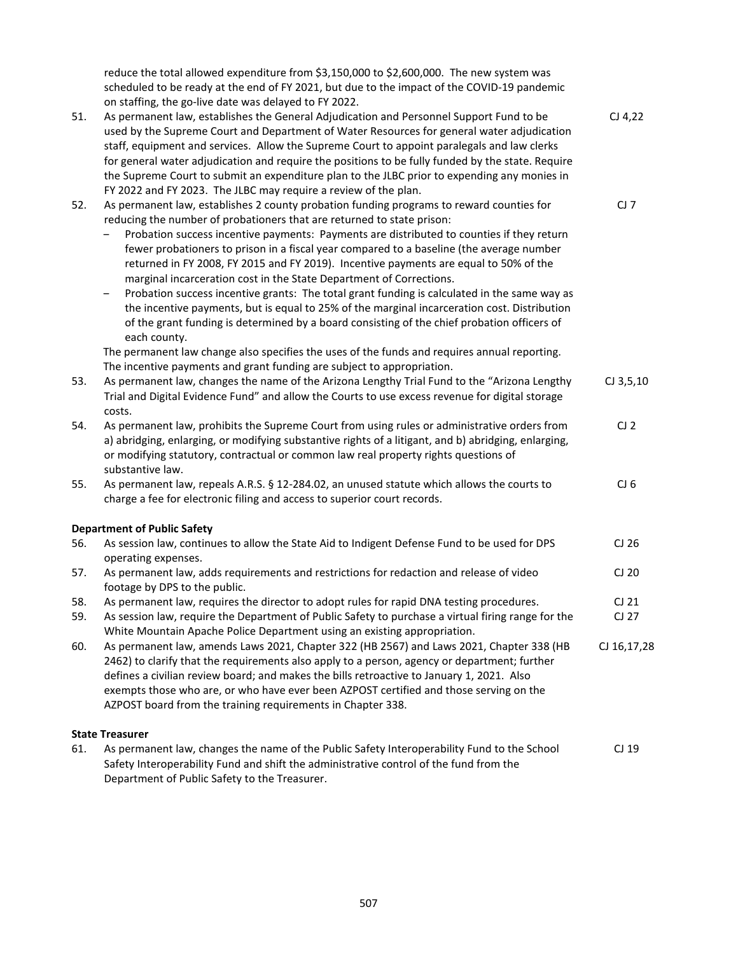reduce the total allowed expenditure from \$3,150,000 to \$2,600,000. The new system was scheduled to be ready at the end of FY 2021, but due to the impact of the COVID-19 pandemic on staffing, the go-live date was delayed to FY 2022. 51. As permanent law, establishes the General Adjudication and Personnel Support Fund to be used by the Supreme Court and Department of Water Resources for general water adjudication staff, equipment and services. Allow the Supreme Court to appoint paralegals and law clerks for general water adjudication and require the positions to be fully funded by the state. Require the Supreme Court to submit an expenditure plan to the JLBC prior to expending any monies in FY 2022 and FY 2023. The JLBC may require a review of the plan. CJ 4,22 52. As permanent law, establishes 2 county probation funding programs to reward counties for reducing the number of probationers that are returned to state prison: ‒ Probation success incentive payments: Payments are distributed to counties if they return fewer probationers to prison in a fiscal year compared to a baseline (the average number returned in FY 2008, FY 2015 and FY 2019). Incentive payments are equal to 50% of the marginal incarceration cost in the State Department of Corrections. ‒ Probation success incentive grants: The total grant funding is calculated in the same way as the incentive payments, but is equal to 25% of the marginal incarceration cost. Distribution of the grant funding is determined by a board consisting of the chief probation officers of each county. The permanent law change also specifies the uses of the funds and requires annual reporting. The incentive payments and grant funding are subject to appropriation. CJ 7 53. As permanent law, changes the name of the Arizona Lengthy Trial Fund to the "Arizona Lengthy Trial and Digital Evidence Fund" and allow the Courts to use excess revenue for digital storage costs. CJ 3,5,10 54. As permanent law, prohibits the Supreme Court from using rules or administrative orders from a) abridging, enlarging, or modifying substantive rights of a litigant, and b) abridging, enlarging, or modifying statutory, contractual or common law real property rights questions of substantive law.  $CJ2$ 55. As permanent law, repeals A.R.S. § 12-284.02, an unused statute which allows the courts to charge a fee for electronic filing and access to superior court records.  $CJ<sub>6</sub>$ **Department of Public Safety** 56. As session law, continues to allow the State Aid to Indigent Defense Fund to be used for DPS operating expenses. CJ 26 57. As permanent law, adds requirements and restrictions for redaction and release of video footage by DPS to the public. CJ 20 58. As permanent law, requires the director to adopt rules for rapid DNA testing procedures. CJ 21 59. As session law, require the Department of Public Safety to purchase a virtual firing range for the White Mountain Apache Police Department using an existing appropriation. CJ 27 60. As permanent law, amends Laws 2021, Chapter 322 (HB 2567) and Laws 2021, Chapter 338 (HB 2462) to clarify that the requirements also apply to a person, agency or department; further defines a civilian review board; and makes the bills retroactive to January 1, 2021. Also exempts those who are, or who have ever been AZPOST certified and those serving on the AZPOST board from the training requirements in Chapter 338. CJ 16,17,28 **State Treasurer** 61. As permanent law, changes the name of the Public Safety Interoperability Fund to the School Safety Interoperability Fund and shift the administrative control of the fund from the CJ 19

Department of Public Safety to the Treasurer.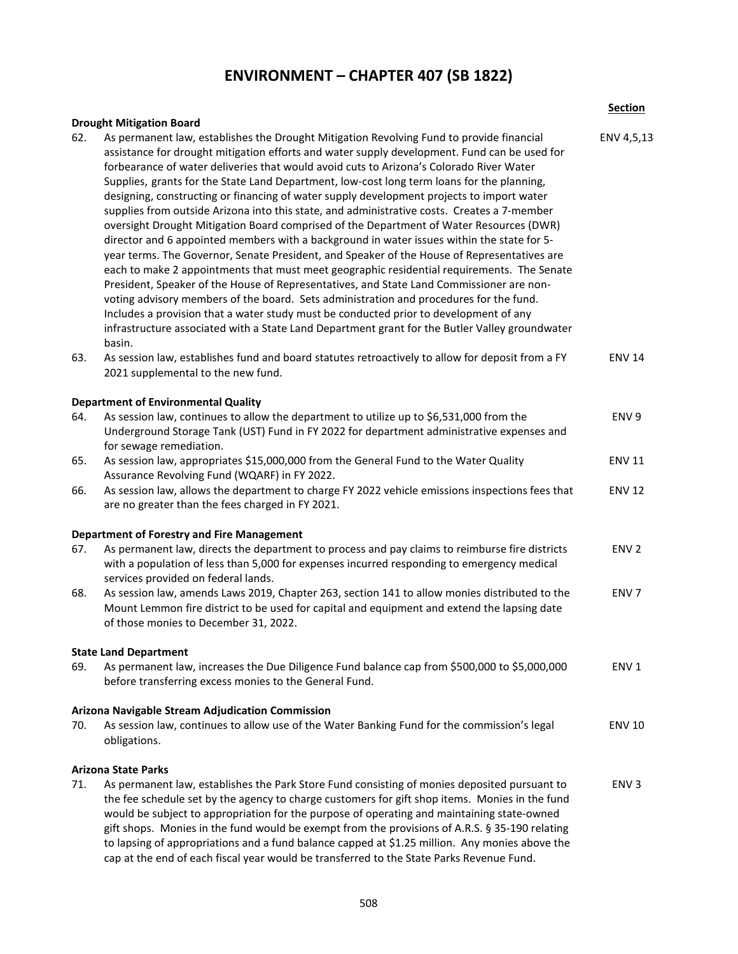### **ENVIRONMENT – CHAPTER 407 (SB 1822)**

**Section**

#### **Drought Mitigation Board**

|     | DI UURIIL IVIILIKALIUII DUAI U                                                                                                                                                                                                                                                                                                                                                                                                                                                                                                                                                                                                                                                                                                                                                                                                                                                                                                                                                                                                                                                                                                                                                                                                                                                                                                                                 |                  |
|-----|----------------------------------------------------------------------------------------------------------------------------------------------------------------------------------------------------------------------------------------------------------------------------------------------------------------------------------------------------------------------------------------------------------------------------------------------------------------------------------------------------------------------------------------------------------------------------------------------------------------------------------------------------------------------------------------------------------------------------------------------------------------------------------------------------------------------------------------------------------------------------------------------------------------------------------------------------------------------------------------------------------------------------------------------------------------------------------------------------------------------------------------------------------------------------------------------------------------------------------------------------------------------------------------------------------------------------------------------------------------|------------------|
| 62. | As permanent law, establishes the Drought Mitigation Revolving Fund to provide financial<br>assistance for drought mitigation efforts and water supply development. Fund can be used for<br>forbearance of water deliveries that would avoid cuts to Arizona's Colorado River Water<br>Supplies, grants for the State Land Department, low-cost long term loans for the planning,<br>designing, constructing or financing of water supply development projects to import water<br>supplies from outside Arizona into this state, and administrative costs. Creates a 7-member<br>oversight Drought Mitigation Board comprised of the Department of Water Resources (DWR)<br>director and 6 appointed members with a background in water issues within the state for 5-<br>year terms. The Governor, Senate President, and Speaker of the House of Representatives are<br>each to make 2 appointments that must meet geographic residential requirements. The Senate<br>President, Speaker of the House of Representatives, and State Land Commissioner are non-<br>voting advisory members of the board. Sets administration and procedures for the fund.<br>Includes a provision that a water study must be conducted prior to development of any<br>infrastructure associated with a State Land Department grant for the Butler Valley groundwater<br>basin. | ENV 4,5,13       |
| 63. | As session law, establishes fund and board statutes retroactively to allow for deposit from a FY<br>2021 supplemental to the new fund.                                                                                                                                                                                                                                                                                                                                                                                                                                                                                                                                                                                                                                                                                                                                                                                                                                                                                                                                                                                                                                                                                                                                                                                                                         | <b>ENV 14</b>    |
|     | <b>Department of Environmental Quality</b>                                                                                                                                                                                                                                                                                                                                                                                                                                                                                                                                                                                                                                                                                                                                                                                                                                                                                                                                                                                                                                                                                                                                                                                                                                                                                                                     |                  |
| 64. | As session law, continues to allow the department to utilize up to \$6,531,000 from the<br>Underground Storage Tank (UST) Fund in FY 2022 for department administrative expenses and<br>for sewage remediation.                                                                                                                                                                                                                                                                                                                                                                                                                                                                                                                                                                                                                                                                                                                                                                                                                                                                                                                                                                                                                                                                                                                                                | ENV <sub>9</sub> |
| 65. | As session law, appropriates \$15,000,000 from the General Fund to the Water Quality<br>Assurance Revolving Fund (WQARF) in FY 2022.                                                                                                                                                                                                                                                                                                                                                                                                                                                                                                                                                                                                                                                                                                                                                                                                                                                                                                                                                                                                                                                                                                                                                                                                                           | <b>ENV 11</b>    |
| 66. | As session law, allows the department to charge FY 2022 vehicle emissions inspections fees that<br>are no greater than the fees charged in FY 2021.                                                                                                                                                                                                                                                                                                                                                                                                                                                                                                                                                                                                                                                                                                                                                                                                                                                                                                                                                                                                                                                                                                                                                                                                            | <b>ENV 12</b>    |
|     | <b>Department of Forestry and Fire Management</b>                                                                                                                                                                                                                                                                                                                                                                                                                                                                                                                                                                                                                                                                                                                                                                                                                                                                                                                                                                                                                                                                                                                                                                                                                                                                                                              |                  |
| 67. | As permanent law, directs the department to process and pay claims to reimburse fire districts<br>with a population of less than 5,000 for expenses incurred responding to emergency medical<br>services provided on federal lands.                                                                                                                                                                                                                                                                                                                                                                                                                                                                                                                                                                                                                                                                                                                                                                                                                                                                                                                                                                                                                                                                                                                            | ENV <sub>2</sub> |
| 68. | As session law, amends Laws 2019, Chapter 263, section 141 to allow monies distributed to the<br>Mount Lemmon fire district to be used for capital and equipment and extend the lapsing date<br>of those monies to December 31, 2022.                                                                                                                                                                                                                                                                                                                                                                                                                                                                                                                                                                                                                                                                                                                                                                                                                                                                                                                                                                                                                                                                                                                          | ENV <sub>7</sub> |
|     | <b>State Land Department</b>                                                                                                                                                                                                                                                                                                                                                                                                                                                                                                                                                                                                                                                                                                                                                                                                                                                                                                                                                                                                                                                                                                                                                                                                                                                                                                                                   |                  |
| 69. | As permanent law, increases the Due Diligence Fund balance cap from \$500,000 to \$5,000,000<br>before transferring excess monies to the General Fund.                                                                                                                                                                                                                                                                                                                                                                                                                                                                                                                                                                                                                                                                                                                                                                                                                                                                                                                                                                                                                                                                                                                                                                                                         | ENV <sub>1</sub> |
|     | <b>Arizona Navigable Stream Adjudication Commission</b>                                                                                                                                                                                                                                                                                                                                                                                                                                                                                                                                                                                                                                                                                                                                                                                                                                                                                                                                                                                                                                                                                                                                                                                                                                                                                                        |                  |
| 70. | As session law, continues to allow use of the Water Banking Fund for the commission's legal<br>obligations.                                                                                                                                                                                                                                                                                                                                                                                                                                                                                                                                                                                                                                                                                                                                                                                                                                                                                                                                                                                                                                                                                                                                                                                                                                                    | <b>ENV 10</b>    |
|     |                                                                                                                                                                                                                                                                                                                                                                                                                                                                                                                                                                                                                                                                                                                                                                                                                                                                                                                                                                                                                                                                                                                                                                                                                                                                                                                                                                |                  |

#### **Arizona State Parks**

71. As permanent law, establishes the Park Store Fund consisting of monies deposited pursuant to the fee schedule set by the agency to charge customers for gift shop items. Monies in the fund would be subject to appropriation for the purpose of operating and maintaining state-owned gift shops. Monies in the fund would be exempt from the provisions of A.R.S. § 35-190 relating to lapsing of appropriations and a fund balance capped at \$1.25 million. Any monies above the cap at the end of each fiscal year would be transferred to the State Parks Revenue Fund. ENV 3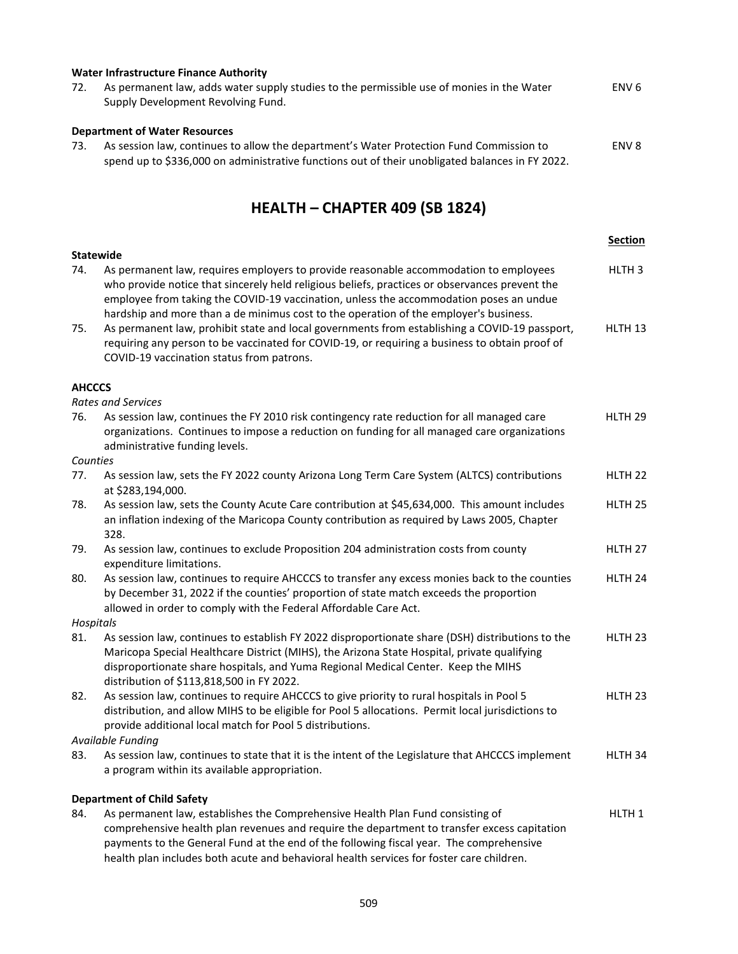|     | Water Infrastructure Finance Authority                                                                                                                                                     |                  |  |  |
|-----|--------------------------------------------------------------------------------------------------------------------------------------------------------------------------------------------|------------------|--|--|
| 72. | As permanent law, adds water supply studies to the permissible use of monies in the Water                                                                                                  | ENV <sub>6</sub> |  |  |
|     | Supply Development Revolving Fund.                                                                                                                                                         |                  |  |  |
|     | <b>Department of Water Resources</b>                                                                                                                                                       |                  |  |  |
| 73. | As session law, continues to allow the department's Water Protection Fund Commission to<br>spend up to \$336,000 on administrative functions out of their unobligated balances in FY 2022. | ENV <sub>8</sub> |  |  |
|     |                                                                                                                                                                                            |                  |  |  |

## **HEALTH – CHAPTER 409 (SB 1824)**

|                                   |                                                                                                                                                                                                                                                                                                                                                                            | <b>Section</b>     |
|-----------------------------------|----------------------------------------------------------------------------------------------------------------------------------------------------------------------------------------------------------------------------------------------------------------------------------------------------------------------------------------------------------------------------|--------------------|
| <b>Statewide</b>                  |                                                                                                                                                                                                                                                                                                                                                                            |                    |
| 74.                               | As permanent law, requires employers to provide reasonable accommodation to employees<br>who provide notice that sincerely held religious beliefs, practices or observances prevent the<br>employee from taking the COVID-19 vaccination, unless the accommodation poses an undue<br>hardship and more than a de minimus cost to the operation of the employer's business. | HLTH <sub>3</sub>  |
| 75.                               | As permanent law, prohibit state and local governments from establishing a COVID-19 passport,<br>requiring any person to be vaccinated for COVID-19, or requiring a business to obtain proof of<br>COVID-19 vaccination status from patrons.                                                                                                                               | HLTH 13            |
| <b>AHCCCS</b>                     |                                                                                                                                                                                                                                                                                                                                                                            |                    |
|                                   | <b>Rates and Services</b>                                                                                                                                                                                                                                                                                                                                                  |                    |
| 76.                               | As session law, continues the FY 2010 risk contingency rate reduction for all managed care<br>organizations. Continues to impose a reduction on funding for all managed care organizations<br>administrative funding levels.                                                                                                                                               | HLTH <sub>29</sub> |
| Counties                          |                                                                                                                                                                                                                                                                                                                                                                            |                    |
| 77.                               | As session law, sets the FY 2022 county Arizona Long Term Care System (ALTCS) contributions<br>at \$283,194,000.                                                                                                                                                                                                                                                           | HLTH <sub>22</sub> |
| 78.                               | As session law, sets the County Acute Care contribution at \$45,634,000. This amount includes<br>an inflation indexing of the Maricopa County contribution as required by Laws 2005, Chapter<br>328.                                                                                                                                                                       | HLTH 25            |
| 79.                               | As session law, continues to exclude Proposition 204 administration costs from county<br>expenditure limitations.                                                                                                                                                                                                                                                          | HLTH 27            |
| 80.                               | As session law, continues to require AHCCCS to transfer any excess monies back to the counties<br>by December 31, 2022 if the counties' proportion of state match exceeds the proportion<br>allowed in order to comply with the Federal Affordable Care Act.                                                                                                               | HLTH 24            |
| Hospitals                         |                                                                                                                                                                                                                                                                                                                                                                            |                    |
| 81.                               | As session law, continues to establish FY 2022 disproportionate share (DSH) distributions to the<br>Maricopa Special Healthcare District (MIHS), the Arizona State Hospital, private qualifying<br>disproportionate share hospitals, and Yuma Regional Medical Center. Keep the MIHS<br>distribution of \$113,818,500 in FY 2022.                                          | HLTH 23            |
| 82.                               | As session law, continues to require AHCCCS to give priority to rural hospitals in Pool 5<br>distribution, and allow MIHS to be eligible for Pool 5 allocations. Permit local jurisdictions to<br>provide additional local match for Pool 5 distributions.                                                                                                                 | HLTH <sub>23</sub> |
|                                   | Available Funding                                                                                                                                                                                                                                                                                                                                                          |                    |
| 83.                               | As session law, continues to state that it is the intent of the Legislature that AHCCCS implement<br>a program within its available appropriation.                                                                                                                                                                                                                         | HLTH 34            |
| <b>Department of Child Safety</b> |                                                                                                                                                                                                                                                                                                                                                                            |                    |
| 84.                               | As permanent law, establishes the Comprehensive Health Plan Fund consisting of                                                                                                                                                                                                                                                                                             | HLTH <sub>1</sub>  |
|                                   | comprehensive health plan revenues and require the department to transfer excess capitation<br>payments to the General Fund at the end of the following fiscal year. The comprehensive<br>health plan includes both acute and behavioral health services for foster care children.                                                                                         |                    |
|                                   |                                                                                                                                                                                                                                                                                                                                                                            |                    |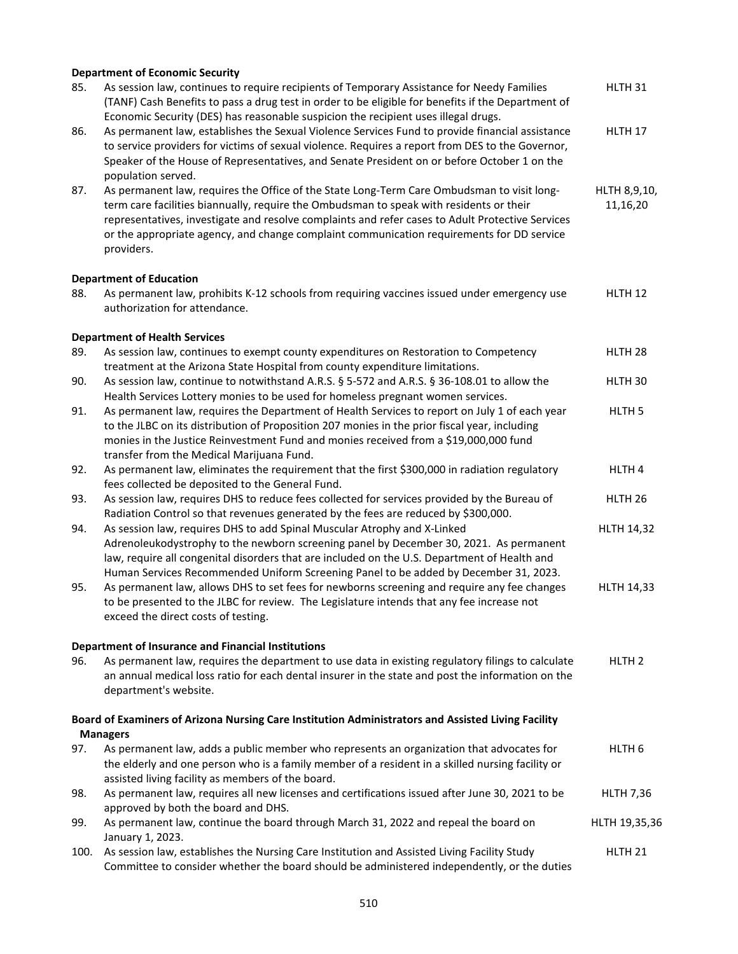|      | <b>Department of Economic Security</b>                                                                                                                                                                                                                                                                                                                                                               |                          |
|------|------------------------------------------------------------------------------------------------------------------------------------------------------------------------------------------------------------------------------------------------------------------------------------------------------------------------------------------------------------------------------------------------------|--------------------------|
| 85.  | As session law, continues to require recipients of Temporary Assistance for Needy Families<br>(TANF) Cash Benefits to pass a drug test in order to be eligible for benefits if the Department of<br>Economic Security (DES) has reasonable suspicion the recipient uses illegal drugs.                                                                                                               | HLTH 31                  |
| 86.  | As permanent law, establishes the Sexual Violence Services Fund to provide financial assistance<br>to service providers for victims of sexual violence. Requires a report from DES to the Governor,<br>Speaker of the House of Representatives, and Senate President on or before October 1 on the<br>population served.                                                                             | HLTH 17                  |
| 87.  | As permanent law, requires the Office of the State Long-Term Care Ombudsman to visit long-<br>term care facilities biannually, require the Ombudsman to speak with residents or their<br>representatives, investigate and resolve complaints and refer cases to Adult Protective Services<br>or the appropriate agency, and change complaint communication requirements for DD service<br>providers. | HLTH 8,9,10,<br>11,16,20 |
|      | <b>Department of Education</b>                                                                                                                                                                                                                                                                                                                                                                       |                          |
| 88.  | As permanent law, prohibits K-12 schools from requiring vaccines issued under emergency use<br>authorization for attendance.                                                                                                                                                                                                                                                                         | HLTH <sub>12</sub>       |
|      | <b>Department of Health Services</b>                                                                                                                                                                                                                                                                                                                                                                 |                          |
| 89.  | As session law, continues to exempt county expenditures on Restoration to Competency<br>treatment at the Arizona State Hospital from county expenditure limitations.                                                                                                                                                                                                                                 | HLTH <sub>28</sub>       |
| 90.  | As session law, continue to notwithstand A.R.S. § 5-572 and A.R.S. § 36-108.01 to allow the<br>Health Services Lottery monies to be used for homeless pregnant women services.                                                                                                                                                                                                                       | HLTH 30                  |
| 91.  | As permanent law, requires the Department of Health Services to report on July 1 of each year<br>to the JLBC on its distribution of Proposition 207 monies in the prior fiscal year, including<br>monies in the Justice Reinvestment Fund and monies received from a \$19,000,000 fund<br>transfer from the Medical Marijuana Fund.                                                                  | HLTH <sub>5</sub>        |
| 92.  | As permanent law, eliminates the requirement that the first \$300,000 in radiation regulatory<br>fees collected be deposited to the General Fund.                                                                                                                                                                                                                                                    | HLTH <sub>4</sub>        |
| 93.  | As session law, requires DHS to reduce fees collected for services provided by the Bureau of<br>Radiation Control so that revenues generated by the fees are reduced by \$300,000.                                                                                                                                                                                                                   | HLTH <sub>26</sub>       |
| 94.  | As session law, requires DHS to add Spinal Muscular Atrophy and X-Linked<br>Adrenoleukodystrophy to the newborn screening panel by December 30, 2021. As permanent<br>law, require all congenital disorders that are included on the U.S. Department of Health and<br>Human Services Recommended Uniform Screening Panel to be added by December 31, 2023.                                           | <b>HLTH 14,32</b>        |
| 95.  | As permanent law, allows DHS to set fees for newborns screening and require any fee changes<br>to be presented to the JLBC for review. The Legislature intends that any fee increase not<br>exceed the direct costs of testing.                                                                                                                                                                      | <b>HLTH 14,33</b>        |
|      | <b>Department of Insurance and Financial Institutions</b>                                                                                                                                                                                                                                                                                                                                            |                          |
| 96.  | As permanent law, requires the department to use data in existing regulatory filings to calculate<br>an annual medical loss ratio for each dental insurer in the state and post the information on the<br>department's website.                                                                                                                                                                      | HLTH <sub>2</sub>        |
|      | Board of Examiners of Arizona Nursing Care Institution Administrators and Assisted Living Facility<br><b>Managers</b>                                                                                                                                                                                                                                                                                |                          |
| 97.  | As permanent law, adds a public member who represents an organization that advocates for<br>the elderly and one person who is a family member of a resident in a skilled nursing facility or<br>assisted living facility as members of the board.                                                                                                                                                    | HLTH <sub>6</sub>        |
| 98.  | As permanent law, requires all new licenses and certifications issued after June 30, 2021 to be<br>approved by both the board and DHS.                                                                                                                                                                                                                                                               | <b>HLTH 7,36</b>         |
| 99.  | As permanent law, continue the board through March 31, 2022 and repeal the board on<br>January 1, 2023.                                                                                                                                                                                                                                                                                              | HLTH 19,35,36            |
| 100. | As session law, establishes the Nursing Care Institution and Assisted Living Facility Study<br>Committee to consider whether the board should be administered independently, or the duties                                                                                                                                                                                                           | HLTH <sub>21</sub>       |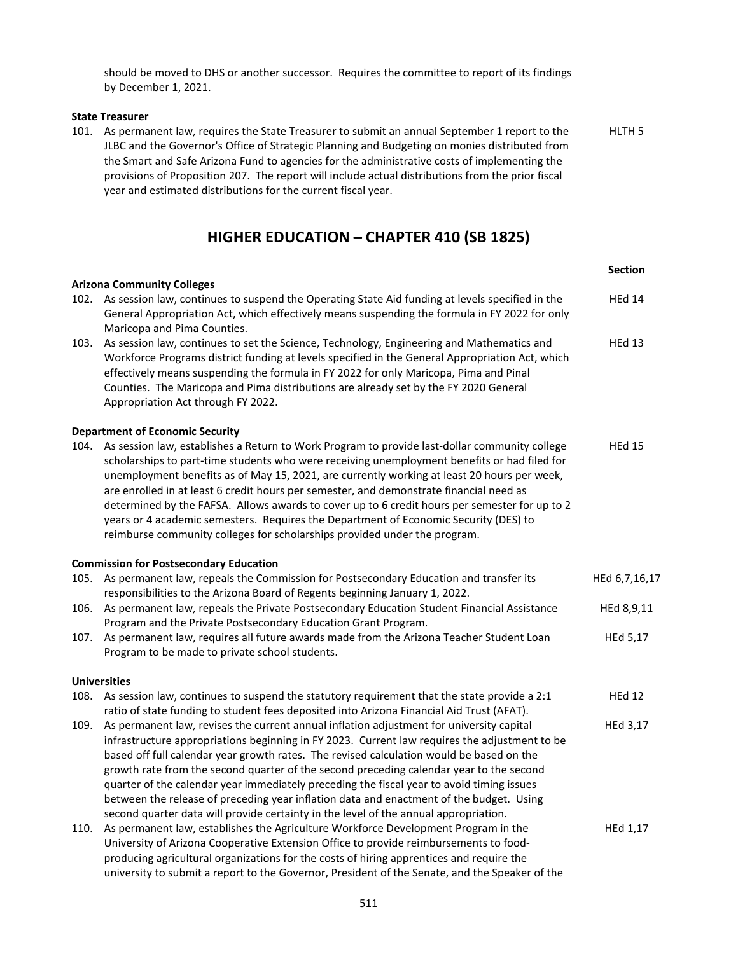should be moved to DHS or another successor. Requires the committee to report of its findings by December 1, 2021.

#### **State Treasurer**

101. As permanent law, requires the State Treasurer to submit an annual September 1 report to the JLBC and the Governor's Office of Strategic Planning and Budgeting on monies distributed from the Smart and Safe Arizona Fund to agencies for the administrative costs of implementing the provisions of Proposition 207. The report will include actual distributions from the prior fiscal year and estimated distributions for the current fiscal year. HLTH 5

## **HIGHER EDUCATION – CHAPTER 410 (SB 1825)**

|      |                                                                                                                                                                                                                                                                                                                                                                                                                                                                                                                                                                                                                                                                  | <b>Section</b> |
|------|------------------------------------------------------------------------------------------------------------------------------------------------------------------------------------------------------------------------------------------------------------------------------------------------------------------------------------------------------------------------------------------------------------------------------------------------------------------------------------------------------------------------------------------------------------------------------------------------------------------------------------------------------------------|----------------|
| 102. | <b>Arizona Community Colleges</b><br>As session law, continues to suspend the Operating State Aid funding at levels specified in the                                                                                                                                                                                                                                                                                                                                                                                                                                                                                                                             | <b>HEd 14</b>  |
|      | General Appropriation Act, which effectively means suspending the formula in FY 2022 for only<br>Maricopa and Pima Counties.                                                                                                                                                                                                                                                                                                                                                                                                                                                                                                                                     |                |
| 103. | As session law, continues to set the Science, Technology, Engineering and Mathematics and<br>Workforce Programs district funding at levels specified in the General Appropriation Act, which<br>effectively means suspending the formula in FY 2022 for only Maricopa, Pima and Pinal<br>Counties. The Maricopa and Pima distributions are already set by the FY 2020 General<br>Appropriation Act through FY 2022.                                                                                                                                                                                                                                              | <b>HEd 13</b>  |
|      | <b>Department of Economic Security</b>                                                                                                                                                                                                                                                                                                                                                                                                                                                                                                                                                                                                                           |                |
| 104. | As session law, establishes a Return to Work Program to provide last-dollar community college<br>scholarships to part-time students who were receiving unemployment benefits or had filed for<br>unemployment benefits as of May 15, 2021, are currently working at least 20 hours per week,<br>are enrolled in at least 6 credit hours per semester, and demonstrate financial need as<br>determined by the FAFSA. Allows awards to cover up to 6 credit hours per semester for up to 2<br>years or 4 academic semesters. Requires the Department of Economic Security (DES) to<br>reimburse community colleges for scholarships provided under the program.    | <b>HEd 15</b>  |
|      | <b>Commission for Postsecondary Education</b>                                                                                                                                                                                                                                                                                                                                                                                                                                                                                                                                                                                                                    |                |
| 105. | As permanent law, repeals the Commission for Postsecondary Education and transfer its<br>responsibilities to the Arizona Board of Regents beginning January 1, 2022.                                                                                                                                                                                                                                                                                                                                                                                                                                                                                             | HEd 6,7,16,17  |
| 106. | As permanent law, repeals the Private Postsecondary Education Student Financial Assistance<br>Program and the Private Postsecondary Education Grant Program.                                                                                                                                                                                                                                                                                                                                                                                                                                                                                                     | HEd 8,9,11     |
| 107. | As permanent law, requires all future awards made from the Arizona Teacher Student Loan<br>Program to be made to private school students.                                                                                                                                                                                                                                                                                                                                                                                                                                                                                                                        | HEd 5,17       |
|      | <b>Universities</b>                                                                                                                                                                                                                                                                                                                                                                                                                                                                                                                                                                                                                                              |                |
| 108. | As session law, continues to suspend the statutory requirement that the state provide a 2:1<br>ratio of state funding to student fees deposited into Arizona Financial Aid Trust (AFAT).                                                                                                                                                                                                                                                                                                                                                                                                                                                                         | <b>HEd 12</b>  |
| 109. | As permanent law, revises the current annual inflation adjustment for university capital<br>infrastructure appropriations beginning in FY 2023. Current law requires the adjustment to be<br>based off full calendar year growth rates. The revised calculation would be based on the<br>growth rate from the second quarter of the second preceding calendar year to the second<br>quarter of the calendar year immediately preceding the fiscal year to avoid timing issues<br>between the release of preceding year inflation data and enactment of the budget. Using<br>second quarter data will provide certainty in the level of the annual appropriation. | HEd 3,17       |
| 110. | As permanent law, establishes the Agriculture Workforce Development Program in the<br>University of Arizona Cooperative Extension Office to provide reimbursements to food-<br>producing agricultural organizations for the costs of hiring apprentices and require the<br>university to submit a report to the Governor, President of the Senate, and the Speaker of the                                                                                                                                                                                                                                                                                        | HEd 1,17       |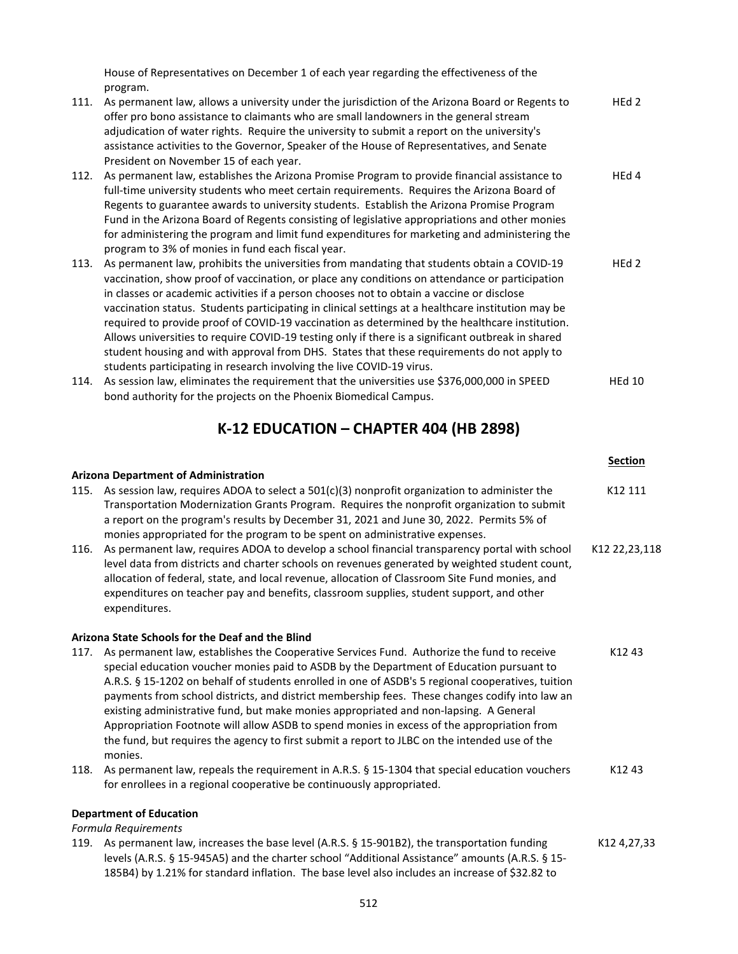House of Representatives on December 1 of each year regarding the effectiveness of the program.

- 111. As permanent law, allows a university under the jurisdiction of the Arizona Board or Regents to offer pro bono assistance to claimants who are small landowners in the general stream adjudication of water rights. Require the university to submit a report on the university's assistance activities to the Governor, Speaker of the House of Representatives, and Senate President on November 15 of each year. HEd 2 112. As permanent law, establishes the Arizona Promise Program to provide financial assistance to full-time university students who meet certain requirements. Requires the Arizona Board of Regents to guarantee awards to university students. Establish the Arizona Promise Program Fund in the Arizona Board of Regents consisting of legislative appropriations and other monies for administering the program and limit fund expenditures for marketing and administering the HEd 4
- program to 3% of monies in fund each fiscal year. 113. As permanent law, prohibits the universities from mandating that students obtain a COVID-19 vaccination, show proof of vaccination, or place any conditions on attendance or participation in classes or academic activities if a person chooses not to obtain a vaccine or disclose vaccination status. Students participating in clinical settings at a healthcare institution may be required to provide proof of COVID-19 vaccination as determined by the healthcare institution. Allows universities to require COVID-19 testing only if there is a significant outbreak in shared student housing and with approval from DHS. States that these requirements do not apply to students participating in research involving the live COVID-19 virus. HEd 2
- 114. As session law, eliminates the requirement that the universities use \$376,000,000 in SPEED bond authority for the projects on the Phoenix Biomedical Campus. HEd 10

### **K-12 EDUCATION – CHAPTER 404 (HB 2898)**

|      |                                                                                                                                                                                                                                                                                                                                                                                                                                                                                                                                                                                                                                                                                                  | <b>Section</b> |
|------|--------------------------------------------------------------------------------------------------------------------------------------------------------------------------------------------------------------------------------------------------------------------------------------------------------------------------------------------------------------------------------------------------------------------------------------------------------------------------------------------------------------------------------------------------------------------------------------------------------------------------------------------------------------------------------------------------|----------------|
|      | <b>Arizona Department of Administration</b>                                                                                                                                                                                                                                                                                                                                                                                                                                                                                                                                                                                                                                                      |                |
|      | 115. As session law, requires ADOA to select a $501(c)(3)$ nonprofit organization to administer the<br>Transportation Modernization Grants Program. Requires the nonprofit organization to submit<br>a report on the program's results by December 31, 2021 and June 30, 2022. Permits 5% of<br>monies appropriated for the program to be spent on administrative expenses.                                                                                                                                                                                                                                                                                                                      | K12 111        |
| 116. | As permanent law, requires ADOA to develop a school financial transparency portal with school<br>level data from districts and charter schools on revenues generated by weighted student count,<br>allocation of federal, state, and local revenue, allocation of Classroom Site Fund monies, and<br>expenditures on teacher pay and benefits, classroom supplies, student support, and other<br>expenditures.                                                                                                                                                                                                                                                                                   | K12 22,23,118  |
|      | Arizona State Schools for the Deaf and the Blind                                                                                                                                                                                                                                                                                                                                                                                                                                                                                                                                                                                                                                                 |                |
| 117. | As permanent law, establishes the Cooperative Services Fund. Authorize the fund to receive<br>special education voucher monies paid to ASDB by the Department of Education pursuant to<br>A.R.S. § 15-1202 on behalf of students enrolled in one of ASDB's 5 regional cooperatives, tuition<br>payments from school districts, and district membership fees. These changes codify into law an<br>existing administrative fund, but make monies appropriated and non-lapsing. A General<br>Appropriation Footnote will allow ASDB to spend monies in excess of the appropriation from<br>the fund, but requires the agency to first submit a report to JLBC on the intended use of the<br>monies. | K1243          |
| 118. | As permanent law, repeals the requirement in A.R.S. § 15-1304 that special education vouchers<br>for enrollees in a regional cooperative be continuously appropriated.                                                                                                                                                                                                                                                                                                                                                                                                                                                                                                                           | K1243          |
|      | <b>Department of Education</b>                                                                                                                                                                                                                                                                                                                                                                                                                                                                                                                                                                                                                                                                   |                |
|      | Formula Requirements<br>119. As permanent law, increases the base level (A.R.S. § 15-901B2), the transportation funding<br>levels (A.R.S. § 15-945A5) and the charter school "Additional Assistance" amounts (A.R.S. § 15-<br>185B4) by 1.21% for standard inflation. The base level also includes an increase of \$32.82 to                                                                                                                                                                                                                                                                                                                                                                     | K12 4,27,33    |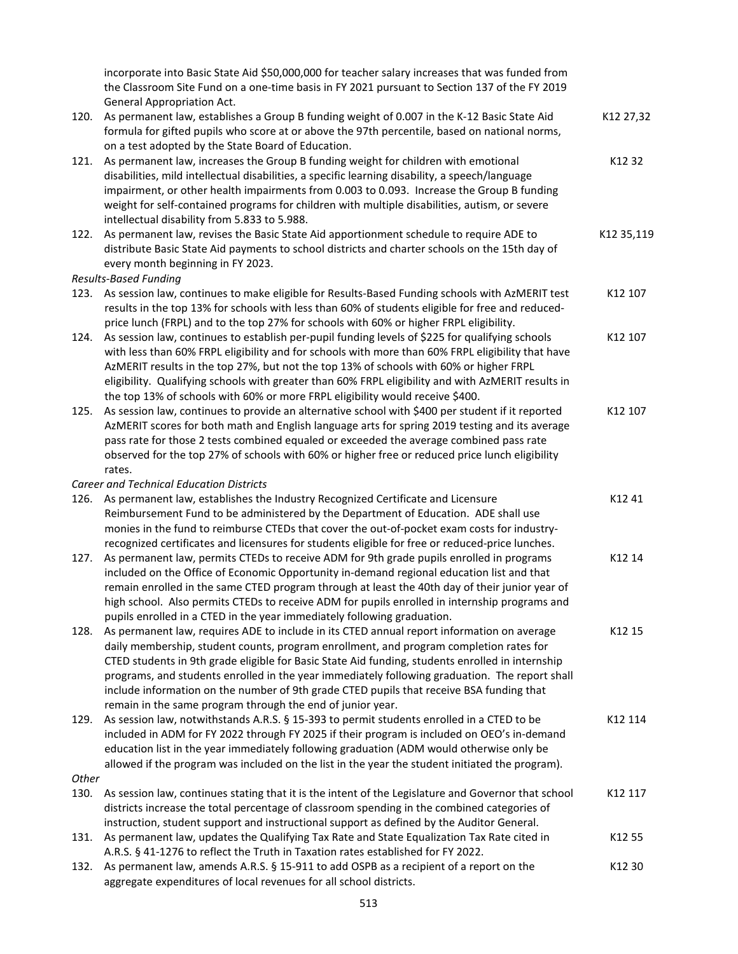| the Classroom Site Fund on a one-time basis in FY 2021 pursuant to Section 137 of the FY 2019<br><b>General Appropriation Act.</b>                                                                                                                                                                                                                                                                                                                                                                                                                                             | incorporate into Basic State Aid \$50,000,000 for teacher salary increases that was funded from |
|--------------------------------------------------------------------------------------------------------------------------------------------------------------------------------------------------------------------------------------------------------------------------------------------------------------------------------------------------------------------------------------------------------------------------------------------------------------------------------------------------------------------------------------------------------------------------------|-------------------------------------------------------------------------------------------------|
| As permanent law, establishes a Group B funding weight of 0.007 in the K-12 Basic State Aid<br>120.                                                                                                                                                                                                                                                                                                                                                                                                                                                                            | K12 27,32                                                                                       |
| formula for gifted pupils who score at or above the 97th percentile, based on national norms,                                                                                                                                                                                                                                                                                                                                                                                                                                                                                  |                                                                                                 |
| on a test adopted by the State Board of Education.                                                                                                                                                                                                                                                                                                                                                                                                                                                                                                                             |                                                                                                 |
| As permanent law, increases the Group B funding weight for children with emotional<br>121.<br>disabilities, mild intellectual disabilities, a specific learning disability, a speech/language<br>impairment, or other health impairments from 0.003 to 0.093. Increase the Group B funding<br>weight for self-contained programs for children with multiple disabilities, autism, or severe<br>intellectual disability from 5.833 to 5.988.                                                                                                                                    | K12 32                                                                                          |
| As permanent law, revises the Basic State Aid apportionment schedule to require ADE to<br>122.                                                                                                                                                                                                                                                                                                                                                                                                                                                                                 | K12 35,119                                                                                      |
| distribute Basic State Aid payments to school districts and charter schools on the 15th day of<br>every month beginning in FY 2023.                                                                                                                                                                                                                                                                                                                                                                                                                                            |                                                                                                 |
| <b>Results-Based Funding</b>                                                                                                                                                                                                                                                                                                                                                                                                                                                                                                                                                   |                                                                                                 |
| As session law, continues to make eligible for Results-Based Funding schools with AzMERIT test<br>123.<br>results in the top 13% for schools with less than 60% of students eligible for free and reduced-<br>price lunch (FRPL) and to the top 27% for schools with 60% or higher FRPL eligibility.                                                                                                                                                                                                                                                                           | K12 107                                                                                         |
| As session law, continues to establish per-pupil funding levels of \$225 for qualifying schools<br>124.<br>with less than 60% FRPL eligibility and for schools with more than 60% FRPL eligibility that have<br>AzMERIT results in the top 27%, but not the top 13% of schools with 60% or higher FRPL<br>eligibility. Qualifying schools with greater than 60% FRPL eligibility and with AzMERIT results in                                                                                                                                                                   | K12 107                                                                                         |
| the top 13% of schools with 60% or more FRPL eligibility would receive \$400.                                                                                                                                                                                                                                                                                                                                                                                                                                                                                                  |                                                                                                 |
| As session law, continues to provide an alternative school with \$400 per student if it reported<br>125.<br>AzMERIT scores for both math and English language arts for spring 2019 testing and its average<br>pass rate for those 2 tests combined equaled or exceeded the average combined pass rate<br>observed for the top 27% of schools with 60% or higher free or reduced price lunch eligibility<br>rates.                                                                                                                                                              | K12 107                                                                                         |
| <b>Career and Technical Education Districts</b>                                                                                                                                                                                                                                                                                                                                                                                                                                                                                                                                |                                                                                                 |
| As permanent law, establishes the Industry Recognized Certificate and Licensure<br>126.<br>Reimbursement Fund to be administered by the Department of Education. ADE shall use<br>monies in the fund to reimburse CTEDs that cover the out-of-pocket exam costs for industry-                                                                                                                                                                                                                                                                                                  | K12 41                                                                                          |
| recognized certificates and licensures for students eligible for free or reduced-price lunches.<br>As permanent law, permits CTEDs to receive ADM for 9th grade pupils enrolled in programs<br>127.<br>included on the Office of Economic Opportunity in-demand regional education list and that<br>remain enrolled in the same CTED program through at least the 40th day of their junior year of<br>high school. Also permits CTEDs to receive ADM for pupils enrolled in internship programs and<br>pupils enrolled in a CTED in the year immediately following graduation. | K12 14                                                                                          |
| As permanent law, requires ADE to include in its CTED annual report information on average<br>128.<br>daily membership, student counts, program enrollment, and program completion rates for<br>CTED students in 9th grade eligible for Basic State Aid funding, students enrolled in internship<br>programs, and students enrolled in the year immediately following graduation. The report shall<br>include information on the number of 9th grade CTED pupils that receive BSA funding that                                                                                 | K12 15                                                                                          |
| remain in the same program through the end of junior year.<br>As session law, notwithstands A.R.S. § 15-393 to permit students enrolled in a CTED to be<br>129.<br>included in ADM for FY 2022 through FY 2025 if their program is included on OEO's in-demand<br>education list in the year immediately following graduation (ADM would otherwise only be                                                                                                                                                                                                                     | K12 114                                                                                         |
| allowed if the program was included on the list in the year the student initiated the program).                                                                                                                                                                                                                                                                                                                                                                                                                                                                                |                                                                                                 |
| <b>Other</b><br>130.<br>As session law, continues stating that it is the intent of the Legislature and Governor that school<br>districts increase the total percentage of classroom spending in the combined categories of                                                                                                                                                                                                                                                                                                                                                     | K12 117                                                                                         |
| instruction, student support and instructional support as defined by the Auditor General.<br>As permanent law, updates the Qualifying Tax Rate and State Equalization Tax Rate cited in<br>131.                                                                                                                                                                                                                                                                                                                                                                                | K12 55                                                                                          |
| A.R.S. § 41-1276 to reflect the Truth in Taxation rates established for FY 2022.<br>As permanent law, amends A.R.S. § 15-911 to add OSPB as a recipient of a report on the<br>132.<br>aggregate expenditures of local revenues for all school districts.                                                                                                                                                                                                                                                                                                                       | K12 30                                                                                          |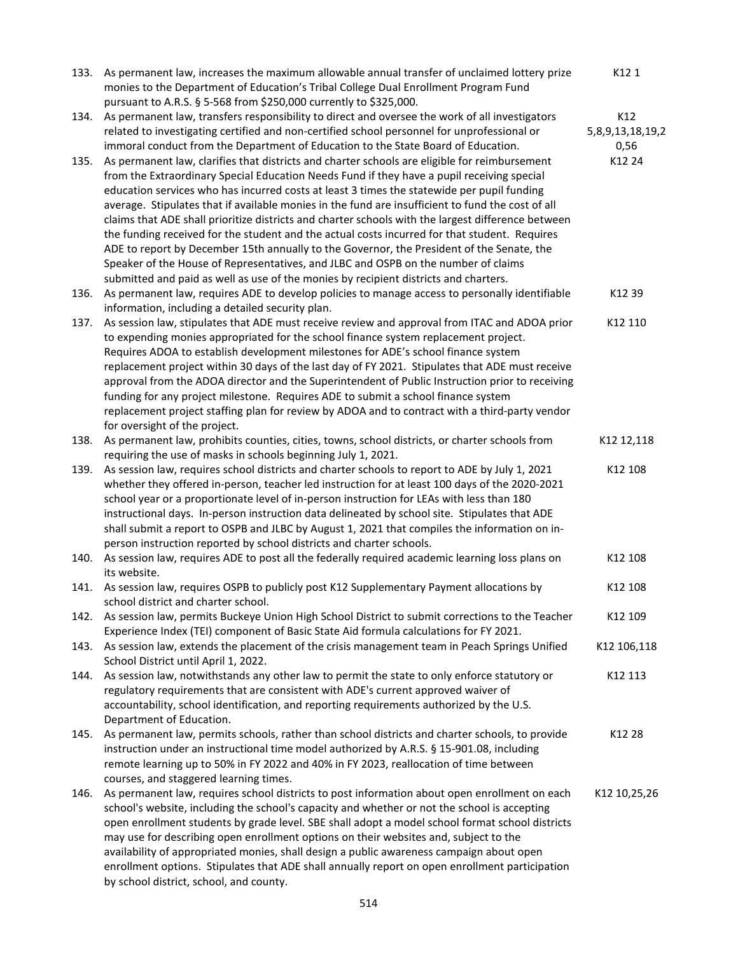|      | 133. As permanent law, increases the maximum allowable annual transfer of unclaimed lottery prize<br>monies to the Department of Education's Tribal College Dual Enrollment Program Fund<br>pursuant to A.R.S. § 5-568 from \$250,000 currently to \$325,000. | K121             |
|------|---------------------------------------------------------------------------------------------------------------------------------------------------------------------------------------------------------------------------------------------------------------|------------------|
| 134. | As permanent law, transfers responsibility to direct and oversee the work of all investigators                                                                                                                                                                | K12              |
|      | related to investigating certified and non-certified school personnel for unprofessional or                                                                                                                                                                   | 5,8,9,13,18,19,2 |
|      | immoral conduct from the Department of Education to the State Board of Education.                                                                                                                                                                             | 0,56             |
| 135. | As permanent law, clarifies that districts and charter schools are eligible for reimbursement                                                                                                                                                                 | K12 24           |
|      | from the Extraordinary Special Education Needs Fund if they have a pupil receiving special                                                                                                                                                                    |                  |
|      | education services who has incurred costs at least 3 times the statewide per pupil funding                                                                                                                                                                    |                  |
|      | average. Stipulates that if available monies in the fund are insufficient to fund the cost of all                                                                                                                                                             |                  |
|      | claims that ADE shall prioritize districts and charter schools with the largest difference between                                                                                                                                                            |                  |
|      | the funding received for the student and the actual costs incurred for that student. Requires                                                                                                                                                                 |                  |
|      | ADE to report by December 15th annually to the Governor, the President of the Senate, the                                                                                                                                                                     |                  |
|      | Speaker of the House of Representatives, and JLBC and OSPB on the number of claims                                                                                                                                                                            |                  |
|      | submitted and paid as well as use of the monies by recipient districts and charters.                                                                                                                                                                          |                  |
| 136. | As permanent law, requires ADE to develop policies to manage access to personally identifiable                                                                                                                                                                | K12 39           |
|      | information, including a detailed security plan.                                                                                                                                                                                                              |                  |
| 137. | As session law, stipulates that ADE must receive review and approval from ITAC and ADOA prior                                                                                                                                                                 | K12 110          |
|      | to expending monies appropriated for the school finance system replacement project.                                                                                                                                                                           |                  |
|      | Requires ADOA to establish development milestones for ADE's school finance system                                                                                                                                                                             |                  |
|      | replacement project within 30 days of the last day of FY 2021. Stipulates that ADE must receive                                                                                                                                                               |                  |
|      | approval from the ADOA director and the Superintendent of Public Instruction prior to receiving                                                                                                                                                               |                  |
|      | funding for any project milestone. Requires ADE to submit a school finance system                                                                                                                                                                             |                  |
|      | replacement project staffing plan for review by ADOA and to contract with a third-party vendor                                                                                                                                                                |                  |
|      | for oversight of the project.                                                                                                                                                                                                                                 |                  |
| 138. | As permanent law, prohibits counties, cities, towns, school districts, or charter schools from                                                                                                                                                                | K12 12,118       |
|      | requiring the use of masks in schools beginning July 1, 2021.                                                                                                                                                                                                 |                  |
| 139. | As session law, requires school districts and charter schools to report to ADE by July 1, 2021                                                                                                                                                                | K12 108          |
|      | whether they offered in-person, teacher led instruction for at least 100 days of the 2020-2021                                                                                                                                                                |                  |
|      | school year or a proportionate level of in-person instruction for LEAs with less than 180                                                                                                                                                                     |                  |
|      | instructional days. In-person instruction data delineated by school site. Stipulates that ADE                                                                                                                                                                 |                  |
|      | shall submit a report to OSPB and JLBC by August 1, 2021 that compiles the information on in-                                                                                                                                                                 |                  |
|      | person instruction reported by school districts and charter schools.                                                                                                                                                                                          |                  |
| 140. | As session law, requires ADE to post all the federally required academic learning loss plans on<br>its website.                                                                                                                                               | K12 108          |
| 141. | As session law, requires OSPB to publicly post K12 Supplementary Payment allocations by<br>school district and charter school.                                                                                                                                | K12 108          |
| 142. | As session law, permits Buckeye Union High School District to submit corrections to the Teacher                                                                                                                                                               | K12 109          |
|      | Experience Index (TEI) component of Basic State Aid formula calculations for FY 2021.                                                                                                                                                                         |                  |
| 143. | As session law, extends the placement of the crisis management team in Peach Springs Unified                                                                                                                                                                  | K12 106,118      |
|      | School District until April 1, 2022.                                                                                                                                                                                                                          |                  |
| 144. | As session law, notwithstands any other law to permit the state to only enforce statutory or                                                                                                                                                                  | K12 113          |
|      | regulatory requirements that are consistent with ADE's current approved waiver of                                                                                                                                                                             |                  |
|      | accountability, school identification, and reporting requirements authorized by the U.S.                                                                                                                                                                      |                  |
|      | Department of Education.                                                                                                                                                                                                                                      |                  |
| 145. | As permanent law, permits schools, rather than school districts and charter schools, to provide                                                                                                                                                               | K12 28           |
|      | instruction under an instructional time model authorized by A.R.S. § 15-901.08, including                                                                                                                                                                     |                  |
|      | remote learning up to 50% in FY 2022 and 40% in FY 2023, reallocation of time between                                                                                                                                                                         |                  |
|      | courses, and staggered learning times.                                                                                                                                                                                                                        |                  |
| 146. | As permanent law, requires school districts to post information about open enrollment on each                                                                                                                                                                 | K12 10,25,26     |
|      | school's website, including the school's capacity and whether or not the school is accepting                                                                                                                                                                  |                  |
|      | open enrollment students by grade level. SBE shall adopt a model school format school districts                                                                                                                                                               |                  |
|      | may use for describing open enrollment options on their websites and, subject to the                                                                                                                                                                          |                  |
|      | availability of appropriated monies, shall design a public awareness campaign about open                                                                                                                                                                      |                  |
|      | enrollment options. Stipulates that ADE shall annually report on open enrollment participation<br>by school district, school, and county.                                                                                                                     |                  |
|      |                                                                                                                                                                                                                                                               |                  |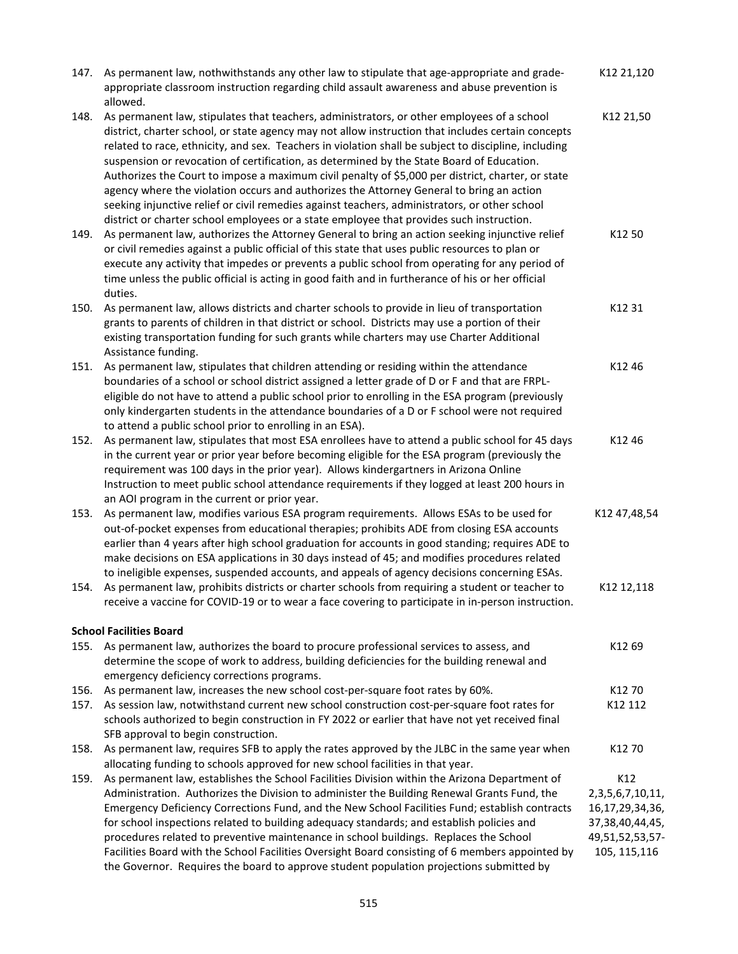| 147.         | As permanent law, nothwithstands any other law to stipulate that age-appropriate and grade-<br>appropriate classroom instruction regarding child assault awareness and abuse prevention is<br>allowed.                                                                                                                                                                                                                                                                                                                                                                                                                                                                                                                                                                                              | K12 21,120                                                                                                      |
|--------------|-----------------------------------------------------------------------------------------------------------------------------------------------------------------------------------------------------------------------------------------------------------------------------------------------------------------------------------------------------------------------------------------------------------------------------------------------------------------------------------------------------------------------------------------------------------------------------------------------------------------------------------------------------------------------------------------------------------------------------------------------------------------------------------------------------|-----------------------------------------------------------------------------------------------------------------|
| 148.         | As permanent law, stipulates that teachers, administrators, or other employees of a school<br>district, charter school, or state agency may not allow instruction that includes certain concepts<br>related to race, ethnicity, and sex. Teachers in violation shall be subject to discipline, including<br>suspension or revocation of certification, as determined by the State Board of Education.<br>Authorizes the Court to impose a maximum civil penalty of \$5,000 per district, charter, or state<br>agency where the violation occurs and authorizes the Attorney General to bring an action<br>seeking injunctive relief or civil remedies against teachers, administrators, or other school<br>district or charter school employees or a state employee that provides such instruction. | K12 21,50                                                                                                       |
| 149.         | As permanent law, authorizes the Attorney General to bring an action seeking injunctive relief<br>or civil remedies against a public official of this state that uses public resources to plan or<br>execute any activity that impedes or prevents a public school from operating for any period of<br>time unless the public official is acting in good faith and in furtherance of his or her official<br>duties.                                                                                                                                                                                                                                                                                                                                                                                 | K12 50                                                                                                          |
| 150.         | As permanent law, allows districts and charter schools to provide in lieu of transportation<br>grants to parents of children in that district or school. Districts may use a portion of their<br>existing transportation funding for such grants while charters may use Charter Additional<br>Assistance funding.                                                                                                                                                                                                                                                                                                                                                                                                                                                                                   | K12 31                                                                                                          |
| 151.         | As permanent law, stipulates that children attending or residing within the attendance<br>boundaries of a school or school district assigned a letter grade of D or F and that are FRPL-<br>eligible do not have to attend a public school prior to enrolling in the ESA program (previously<br>only kindergarten students in the attendance boundaries of a D or F school were not required<br>to attend a public school prior to enrolling in an ESA).                                                                                                                                                                                                                                                                                                                                            | K12 46                                                                                                          |
| 152.         | As permanent law, stipulates that most ESA enrollees have to attend a public school for 45 days<br>in the current year or prior year before becoming eligible for the ESA program (previously the<br>requirement was 100 days in the prior year). Allows kindergartners in Arizona Online<br>Instruction to meet public school attendance requirements if they logged at least 200 hours in<br>an AOI program in the current or prior year.                                                                                                                                                                                                                                                                                                                                                         | K12 46                                                                                                          |
| 153.         | As permanent law, modifies various ESA program requirements. Allows ESAs to be used for<br>out-of-pocket expenses from educational therapies; prohibits ADE from closing ESA accounts<br>earlier than 4 years after high school graduation for accounts in good standing; requires ADE to<br>make decisions on ESA applications in 30 days instead of 45; and modifies procedures related<br>to ineligible expenses, suspended accounts, and appeals of agency decisions concerning ESAs.                                                                                                                                                                                                                                                                                                           | K12 47,48,54                                                                                                    |
| 154.         | As permanent law, prohibits districts or charter schools from requiring a student or teacher to<br>receive a vaccine for COVID-19 or to wear a face covering to participate in in-person instruction.                                                                                                                                                                                                                                                                                                                                                                                                                                                                                                                                                                                               | K12 12,118                                                                                                      |
| 155.         | <b>School Facilities Board</b><br>As permanent law, authorizes the board to procure professional services to assess, and<br>determine the scope of work to address, building deficiencies for the building renewal and<br>emergency deficiency corrections programs.                                                                                                                                                                                                                                                                                                                                                                                                                                                                                                                                | K12 69                                                                                                          |
| 156.<br>157. | As permanent law, increases the new school cost-per-square foot rates by 60%.<br>As session law, notwithstand current new school construction cost-per-square foot rates for<br>schools authorized to begin construction in FY 2022 or earlier that have not yet received final<br>SFB approval to begin construction.                                                                                                                                                                                                                                                                                                                                                                                                                                                                              | K12 70<br>K12 112                                                                                               |
| 158.         | As permanent law, requires SFB to apply the rates approved by the JLBC in the same year when<br>allocating funding to schools approved for new school facilities in that year.                                                                                                                                                                                                                                                                                                                                                                                                                                                                                                                                                                                                                      | K12 70                                                                                                          |
| 159.         | As permanent law, establishes the School Facilities Division within the Arizona Department of<br>Administration. Authorizes the Division to administer the Building Renewal Grants Fund, the<br>Emergency Deficiency Corrections Fund, and the New School Facilities Fund; establish contracts<br>for school inspections related to building adequacy standards; and establish policies and<br>procedures related to preventive maintenance in school buildings. Replaces the School<br>Facilities Board with the School Facilities Oversight Board consisting of 6 members appointed by<br>the Governor. Requires the board to approve student population projections submitted by                                                                                                                 | K12<br>2, 3, 5, 6, 7, 10, 11,<br>16, 17, 29, 34, 36,<br>37, 38, 40, 44, 45,<br>49,51,52,53,57-<br>105, 115, 116 |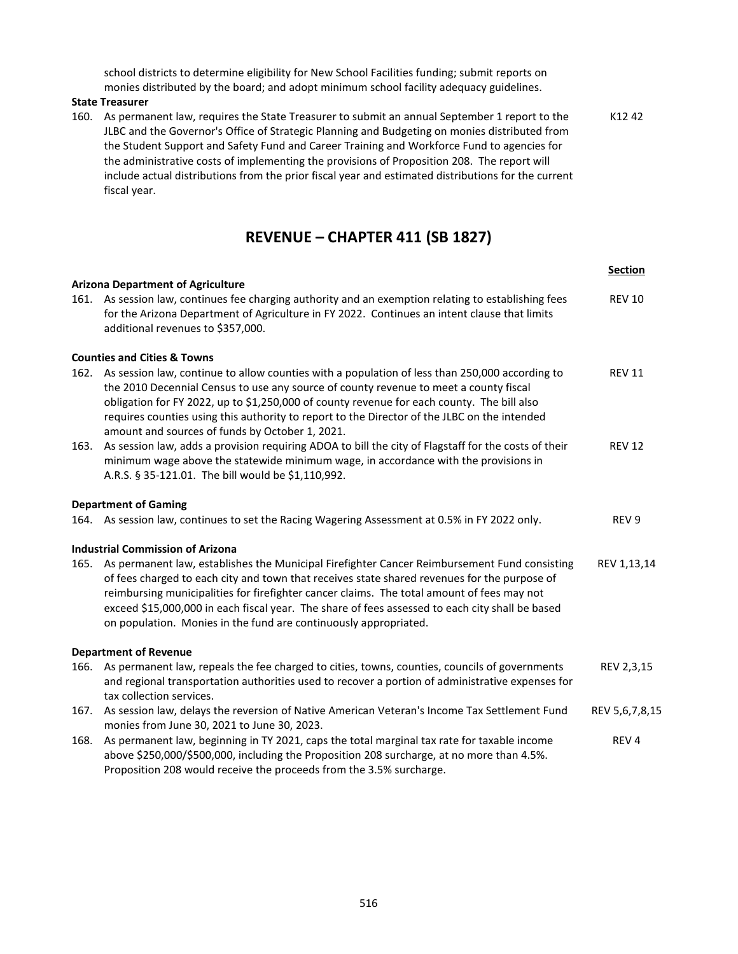school districts to determine eligibility for New School Facilities funding; submit reports on monies distributed by the board; and adopt minimum school facility adequacy guidelines.

#### **State Treasurer**

160. As permanent law, requires the State Treasurer to submit an annual September 1 report to the JLBC and the Governor's Office of Strategic Planning and Budgeting on monies distributed from the Student Support and Safety Fund and Career Training and Workforce Fund to agencies for the administrative costs of implementing the provisions of Proposition 208. The report will include actual distributions from the prior fiscal year and estimated distributions for the current fiscal year. K12 42

### **REVENUE – CHAPTER 411 (SB 1827)**

|      |                                                                                                                                                                                                                                                                                                                                                                                                                                                                        | <b>Section</b>   |
|------|------------------------------------------------------------------------------------------------------------------------------------------------------------------------------------------------------------------------------------------------------------------------------------------------------------------------------------------------------------------------------------------------------------------------------------------------------------------------|------------------|
|      | <b>Arizona Department of Agriculture</b><br>161. As session law, continues fee charging authority and an exemption relating to establishing fees<br>for the Arizona Department of Agriculture in FY 2022. Continues an intent clause that limits<br>additional revenues to \$357,000.                                                                                                                                                                                  | <b>REV 10</b>    |
|      | <b>Counties and Cities &amp; Towns</b>                                                                                                                                                                                                                                                                                                                                                                                                                                 |                  |
|      | 162. As session law, continue to allow counties with a population of less than 250,000 according to<br>the 2010 Decennial Census to use any source of county revenue to meet a county fiscal<br>obligation for FY 2022, up to \$1,250,000 of county revenue for each county. The bill also<br>requires counties using this authority to report to the Director of the JLBC on the intended<br>amount and sources of funds by October 1, 2021.                          | <b>REV 11</b>    |
| 163. | As session law, adds a provision requiring ADOA to bill the city of Flagstaff for the costs of their<br>minimum wage above the statewide minimum wage, in accordance with the provisions in<br>A.R.S. § 35-121.01. The bill would be \$1,110,992.                                                                                                                                                                                                                      | <b>REV 12</b>    |
|      | <b>Department of Gaming</b>                                                                                                                                                                                                                                                                                                                                                                                                                                            |                  |
|      | 164. As session law, continues to set the Racing Wagering Assessment at 0.5% in FY 2022 only.                                                                                                                                                                                                                                                                                                                                                                          | REV 9            |
|      | <b>Industrial Commission of Arizona</b>                                                                                                                                                                                                                                                                                                                                                                                                                                |                  |
|      | 165. As permanent law, establishes the Municipal Firefighter Cancer Reimbursement Fund consisting<br>of fees charged to each city and town that receives state shared revenues for the purpose of<br>reimbursing municipalities for firefighter cancer claims. The total amount of fees may not<br>exceed \$15,000,000 in each fiscal year. The share of fees assessed to each city shall be based<br>on population. Monies in the fund are continuously appropriated. | REV 1,13,14      |
|      | <b>Department of Revenue</b>                                                                                                                                                                                                                                                                                                                                                                                                                                           |                  |
| 166. | As permanent law, repeals the fee charged to cities, towns, counties, councils of governments<br>and regional transportation authorities used to recover a portion of administrative expenses for<br>tax collection services.                                                                                                                                                                                                                                          | REV 2,3,15       |
| 167. | As session law, delays the reversion of Native American Veteran's Income Tax Settlement Fund<br>monies from June 30, 2021 to June 30, 2023.                                                                                                                                                                                                                                                                                                                            | REV 5,6,7,8,15   |
| 168. | As permanent law, beginning in TY 2021, caps the total marginal tax rate for taxable income<br>above \$250,000/\$500,000, including the Proposition 208 surcharge, at no more than 4.5%.<br>Proposition 208 would receive the proceeds from the 3.5% surcharge.                                                                                                                                                                                                        | REV <sub>4</sub> |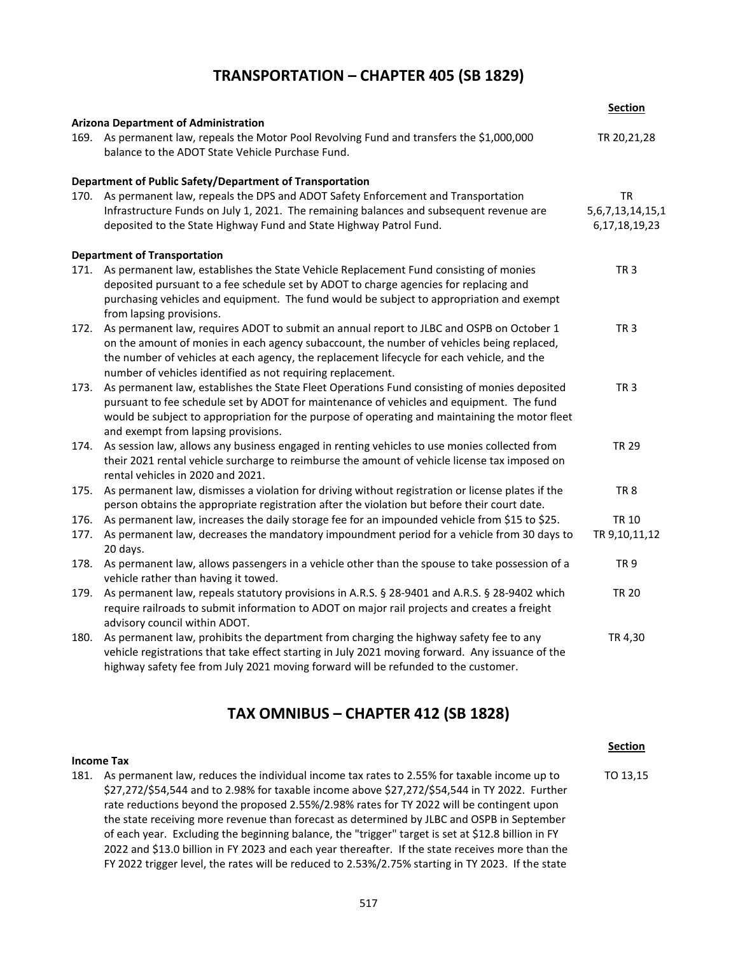### **TRANSPORTATION – CHAPTER 405 (SB 1829)**

|      | <b>Arizona Department of Administration</b>                                                                                                                                                                                                                                                                                                        | <b>Section</b>                              |
|------|----------------------------------------------------------------------------------------------------------------------------------------------------------------------------------------------------------------------------------------------------------------------------------------------------------------------------------------------------|---------------------------------------------|
|      | 169. As permanent law, repeals the Motor Pool Revolving Fund and transfers the \$1,000,000<br>balance to the ADOT State Vehicle Purchase Fund.                                                                                                                                                                                                     | TR 20,21,28                                 |
|      | Department of Public Safety/Department of Transportation                                                                                                                                                                                                                                                                                           |                                             |
| 170. | As permanent law, repeals the DPS and ADOT Safety Enforcement and Transportation                                                                                                                                                                                                                                                                   | TR                                          |
|      | Infrastructure Funds on July 1, 2021. The remaining balances and subsequent revenue are<br>deposited to the State Highway Fund and State Highway Patrol Fund.                                                                                                                                                                                      | 5, 6, 7, 13, 14, 15, 1<br>6, 17, 18, 19, 23 |
|      | <b>Department of Transportation</b>                                                                                                                                                                                                                                                                                                                |                                             |
| 171. | As permanent law, establishes the State Vehicle Replacement Fund consisting of monies<br>deposited pursuant to a fee schedule set by ADOT to charge agencies for replacing and<br>purchasing vehicles and equipment. The fund would be subject to appropriation and exempt<br>from lapsing provisions.                                             | TR <sub>3</sub>                             |
| 172. | As permanent law, requires ADOT to submit an annual report to JLBC and OSPB on October 1<br>on the amount of monies in each agency subaccount, the number of vehicles being replaced,<br>the number of vehicles at each agency, the replacement lifecycle for each vehicle, and the<br>number of vehicles identified as not requiring replacement. | TR <sub>3</sub>                             |
| 173. | As permanent law, establishes the State Fleet Operations Fund consisting of monies deposited<br>pursuant to fee schedule set by ADOT for maintenance of vehicles and equipment. The fund<br>would be subject to appropriation for the purpose of operating and maintaining the motor fleet<br>and exempt from lapsing provisions.                  | TR <sub>3</sub>                             |
| 174. | As session law, allows any business engaged in renting vehicles to use monies collected from<br>their 2021 rental vehicle surcharge to reimburse the amount of vehicle license tax imposed on<br>rental vehicles in 2020 and 2021.                                                                                                                 | <b>TR 29</b>                                |
| 175. | As permanent law, dismisses a violation for driving without registration or license plates if the<br>person obtains the appropriate registration after the violation but before their court date.                                                                                                                                                  | TR <sub>8</sub>                             |
| 176. | As permanent law, increases the daily storage fee for an impounded vehicle from \$15 to \$25.                                                                                                                                                                                                                                                      | <b>TR 10</b>                                |
| 177. | As permanent law, decreases the mandatory impoundment period for a vehicle from 30 days to<br>20 days.                                                                                                                                                                                                                                             | TR 9,10,11,12                               |
| 178. | As permanent law, allows passengers in a vehicle other than the spouse to take possession of a<br>vehicle rather than having it towed.                                                                                                                                                                                                             | <b>TR9</b>                                  |
| 179. | As permanent law, repeals statutory provisions in A.R.S. § 28-9401 and A.R.S. § 28-9402 which<br>require railroads to submit information to ADOT on major rail projects and creates a freight<br>advisory council within ADOT.                                                                                                                     | <b>TR 20</b>                                |
| 180. | As permanent law, prohibits the department from charging the highway safety fee to any<br>vehicle registrations that take effect starting in July 2021 moving forward. Any issuance of the<br>highway safety fee from July 2021 moving forward will be refunded to the customer.                                                                   | TR 4,30                                     |

### **TAX OMNIBUS – CHAPTER 412 (SB 1828)**

**Section**

#### **Income Tax**

181. As permanent law, reduces the individual income tax rates to 2.55% for taxable income up to \$27,272/\$54,544 and to 2.98% for taxable income above \$27,272/\$54,544 in TY 2022. Further rate reductions beyond the proposed 2.55%/2.98% rates for TY 2022 will be contingent upon the state receiving more revenue than forecast as determined by JLBC and OSPB in September of each year. Excluding the beginning balance, the "trigger" target is set at \$12.8 billion in FY 2022 and \$13.0 billion in FY 2023 and each year thereafter. If the state receives more than the FY 2022 trigger level, the rates will be reduced to 2.53%/2.75% starting in TY 2023. If the state TO 13,15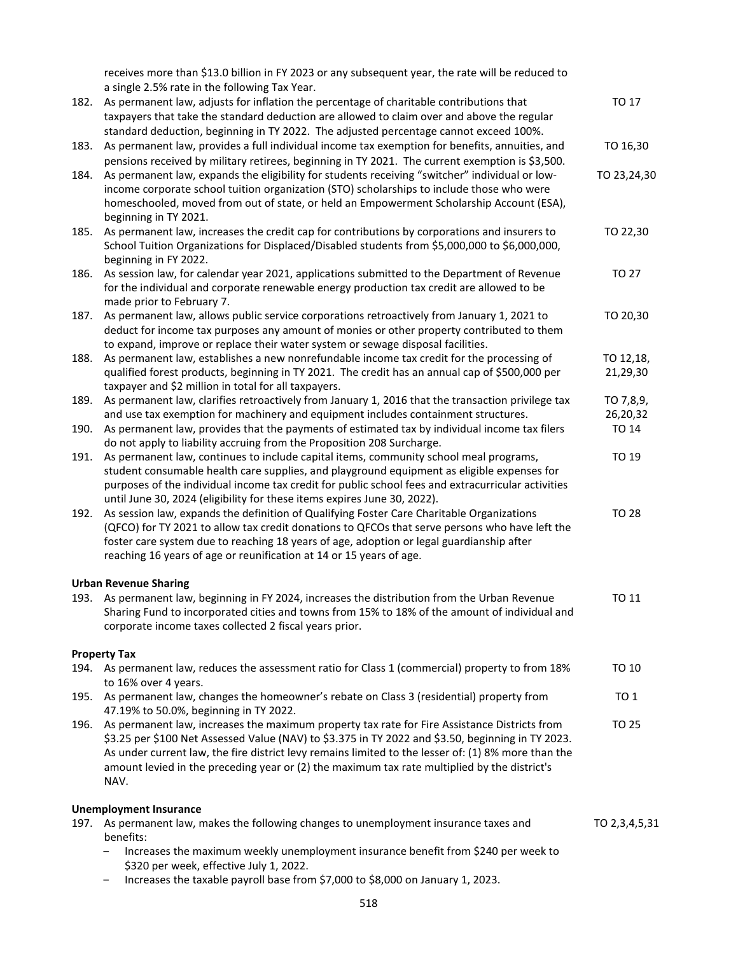receives more than \$13.0 billion in FY 2023 or any subsequent year, the rate will be reduced to a single 2.5% rate in the following Tax Year.

|      | a single z.s / $\sigma$ rate in the rollowing rax rear.                                                                                                                                                                                                                                                                                                                                                          |                       |
|------|------------------------------------------------------------------------------------------------------------------------------------------------------------------------------------------------------------------------------------------------------------------------------------------------------------------------------------------------------------------------------------------------------------------|-----------------------|
| 182. | As permanent law, adjusts for inflation the percentage of charitable contributions that<br>taxpayers that take the standard deduction are allowed to claim over and above the regular                                                                                                                                                                                                                            | TO 17                 |
| 183. | standard deduction, beginning in TY 2022. The adjusted percentage cannot exceed 100%.<br>As permanent law, provides a full individual income tax exemption for benefits, annuities, and<br>pensions received by military retirees, beginning in TY 2021. The current exemption is \$3,500.                                                                                                                       | TO 16,30              |
| 184. | As permanent law, expands the eligibility for students receiving "switcher" individual or low-<br>income corporate school tuition organization (STO) scholarships to include those who were<br>homeschooled, moved from out of state, or held an Empowerment Scholarship Account (ESA),<br>beginning in TY 2021.                                                                                                 | TO 23,24,30           |
| 185. | As permanent law, increases the credit cap for contributions by corporations and insurers to<br>School Tuition Organizations for Displaced/Disabled students from \$5,000,000 to \$6,000,000,<br>beginning in FY 2022.                                                                                                                                                                                           | TO 22,30              |
| 186. | As session law, for calendar year 2021, applications submitted to the Department of Revenue<br>for the individual and corporate renewable energy production tax credit are allowed to be<br>made prior to February 7.                                                                                                                                                                                            | TO 27                 |
| 187. | As permanent law, allows public service corporations retroactively from January 1, 2021 to<br>deduct for income tax purposes any amount of monies or other property contributed to them<br>to expand, improve or replace their water system or sewage disposal facilities.                                                                                                                                       | TO 20,30              |
| 188. | As permanent law, establishes a new nonrefundable income tax credit for the processing of<br>qualified forest products, beginning in TY 2021. The credit has an annual cap of \$500,000 per<br>taxpayer and \$2 million in total for all taxpayers.                                                                                                                                                              | TO 12,18,<br>21,29,30 |
| 189. | As permanent law, clarifies retroactively from January 1, 2016 that the transaction privilege tax                                                                                                                                                                                                                                                                                                                | TO 7,8,9,             |
| 190. | and use tax exemption for machinery and equipment includes containment structures.<br>As permanent law, provides that the payments of estimated tax by individual income tax filers                                                                                                                                                                                                                              | 26,20,32<br>TO 14     |
|      | do not apply to liability accruing from the Proposition 208 Surcharge.                                                                                                                                                                                                                                                                                                                                           |                       |
| 191. | As permanent law, continues to include capital items, community school meal programs,<br>student consumable health care supplies, and playground equipment as eligible expenses for<br>purposes of the individual income tax credit for public school fees and extracurricular activities<br>until June 30, 2024 (eligibility for these items expires June 30, 2022).                                            | TO 19                 |
| 192. | As session law, expands the definition of Qualifying Foster Care Charitable Organizations<br>(QFCO) for TY 2021 to allow tax credit donations to QFCOs that serve persons who have left the<br>foster care system due to reaching 18 years of age, adoption or legal guardianship after<br>reaching 16 years of age or reunification at 14 or 15 years of age.                                                   | <b>TO 28</b>          |
|      | <b>Urban Revenue Sharing</b>                                                                                                                                                                                                                                                                                                                                                                                     |                       |
| 193. | As permanent law, beginning in FY 2024, increases the distribution from the Urban Revenue<br>Sharing Fund to incorporated cities and towns from 15% to 18% of the amount of individual and<br>corporate income taxes collected 2 fiscal years prior.                                                                                                                                                             | TO 11                 |
|      | <b>Property Tax</b>                                                                                                                                                                                                                                                                                                                                                                                              |                       |
| 194. | As permanent law, reduces the assessment ratio for Class 1 (commercial) property to from 18%<br>to 16% over 4 years.                                                                                                                                                                                                                                                                                             | TO 10                 |
| 195. | As permanent law, changes the homeowner's rebate on Class 3 (residential) property from<br>47.19% to 50.0%, beginning in TY 2022.                                                                                                                                                                                                                                                                                | TO 1                  |
| 196. | As permanent law, increases the maximum property tax rate for Fire Assistance Districts from<br>\$3.25 per \$100 Net Assessed Value (NAV) to \$3.375 in TY 2022 and \$3.50, beginning in TY 2023.<br>As under current law, the fire district levy remains limited to the lesser of: (1) 8% more than the<br>amount levied in the preceding year or (2) the maximum tax rate multiplied by the district's<br>NAV. | TO 25                 |
|      | <b>Unemployment Insurance</b>                                                                                                                                                                                                                                                                                                                                                                                    |                       |
|      | 197. As permanent law, makes the following changes to unemployment insurance taxes and<br>benefits:                                                                                                                                                                                                                                                                                                              | TO 2,3,4,5,31         |
|      | Increases the maximum weekly unemployment insurance benefit from \$240 per week to<br>\$320 per week, effective July 1, 2022.                                                                                                                                                                                                                                                                                    |                       |

‒ Increases the taxable payroll base from \$7,000 to \$8,000 on January 1, 2023.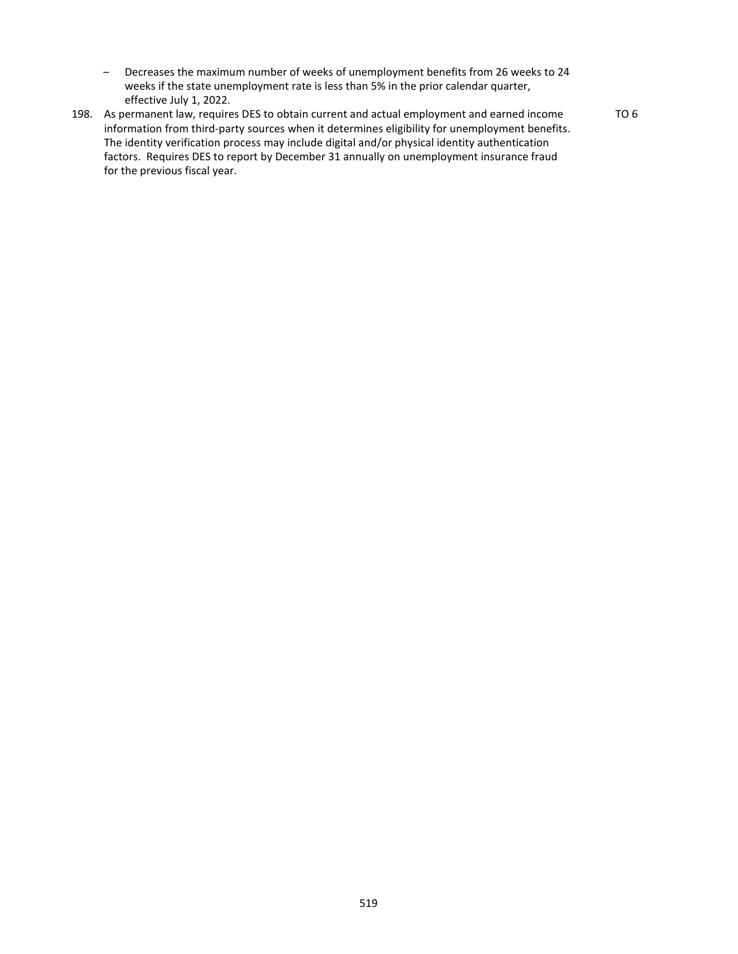- Decreases the maximum number of weeks of unemployment benefits from 26 weeks to 24 weeks if the state unemployment rate is less than 5% in the prior calendar quarter, effective July 1, 2022.
- 198. As permanent law, requires DES to obtain current and actual employment and earned income information from third-party sources when it determines eligibility for unemployment benefits. The identity verification process may include digital and/or physical identity authentication factors. Requires DES to report by December 31 annually on unemployment insurance fraud for the previous fiscal year.

TO 6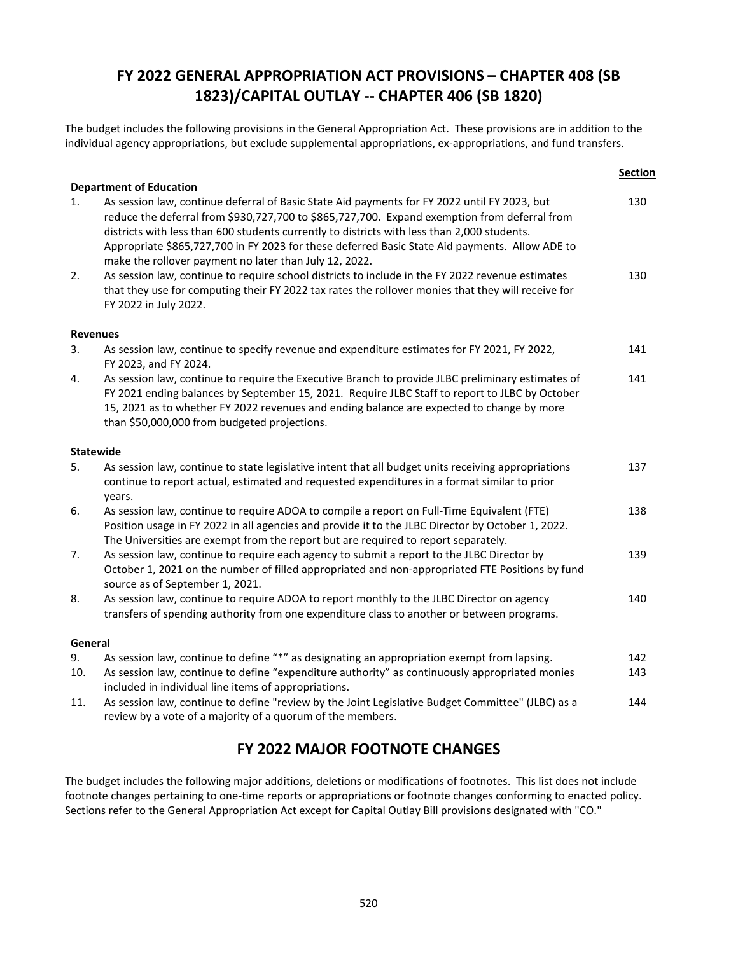## **FY 2022 GENERAL APPROPRIATION ACT PROVISIONS – CHAPTER 408 (SB 1823)/CAPITAL OUTLAY -- CHAPTER 406 (SB 1820)**

The budget includes the following provisions in the General Appropriation Act. These provisions are in addition to the individual agency appropriations, but exclude supplemental appropriations, ex-appropriations, and fund transfers.

|         |                                                                                                                                                                                                                                                                                                                                                                                                                                                                                           | <b>Section</b> |
|---------|-------------------------------------------------------------------------------------------------------------------------------------------------------------------------------------------------------------------------------------------------------------------------------------------------------------------------------------------------------------------------------------------------------------------------------------------------------------------------------------------|----------------|
| 1.      | <b>Department of Education</b><br>As session law, continue deferral of Basic State Aid payments for FY 2022 until FY 2023, but<br>reduce the deferral from \$930,727,700 to \$865,727,700. Expand exemption from deferral from<br>districts with less than 600 students currently to districts with less than 2,000 students.<br>Appropriate \$865,727,700 in FY 2023 for these deferred Basic State Aid payments. Allow ADE to<br>make the rollover payment no later than July 12, 2022. | 130            |
| 2.      | As session law, continue to require school districts to include in the FY 2022 revenue estimates<br>that they use for computing their FY 2022 tax rates the rollover monies that they will receive for<br>FY 2022 in July 2022.                                                                                                                                                                                                                                                           | 130            |
|         | <b>Revenues</b>                                                                                                                                                                                                                                                                                                                                                                                                                                                                           |                |
| 3.      | As session law, continue to specify revenue and expenditure estimates for FY 2021, FY 2022,<br>FY 2023, and FY 2024.                                                                                                                                                                                                                                                                                                                                                                      | 141            |
| 4.      | As session law, continue to require the Executive Branch to provide JLBC preliminary estimates of<br>FY 2021 ending balances by September 15, 2021. Require JLBC Staff to report to JLBC by October<br>15, 2021 as to whether FY 2022 revenues and ending balance are expected to change by more<br>than \$50,000,000 from budgeted projections.                                                                                                                                          | 141            |
|         | <b>Statewide</b>                                                                                                                                                                                                                                                                                                                                                                                                                                                                          |                |
| 5.      | As session law, continue to state legislative intent that all budget units receiving appropriations<br>continue to report actual, estimated and requested expenditures in a format similar to prior<br>years.                                                                                                                                                                                                                                                                             | 137            |
| 6.      | As session law, continue to require ADOA to compile a report on Full-Time Equivalent (FTE)<br>Position usage in FY 2022 in all agencies and provide it to the JLBC Director by October 1, 2022.<br>The Universities are exempt from the report but are required to report separately.                                                                                                                                                                                                     | 138            |
| 7.      | As session law, continue to require each agency to submit a report to the JLBC Director by<br>October 1, 2021 on the number of filled appropriated and non-appropriated FTE Positions by fund<br>source as of September 1, 2021.                                                                                                                                                                                                                                                          | 139            |
| 8.      | As session law, continue to require ADOA to report monthly to the JLBC Director on agency<br>transfers of spending authority from one expenditure class to another or between programs.                                                                                                                                                                                                                                                                                                   | 140            |
| General |                                                                                                                                                                                                                                                                                                                                                                                                                                                                                           |                |
| 9.      | As session law, continue to define "*" as designating an appropriation exempt from lapsing.                                                                                                                                                                                                                                                                                                                                                                                               | 142            |
| 10.     | As session law, continue to define "expenditure authority" as continuously appropriated monies<br>included in individual line items of appropriations.                                                                                                                                                                                                                                                                                                                                    | 143            |
| 11.     | As session law, continue to define "review by the Joint Legislative Budget Committee" (JLBC) as a<br>review by a vote of a majority of a quorum of the members.                                                                                                                                                                                                                                                                                                                           | 144            |

### **FY 2022 MAJOR FOOTNOTE CHANGES**

The budget includes the following major additions, deletions or modifications of footnotes. This list does not include footnote changes pertaining to one-time reports or appropriations or footnote changes conforming to enacted policy. Sections refer to the General Appropriation Act except for Capital Outlay Bill provisions designated with "CO."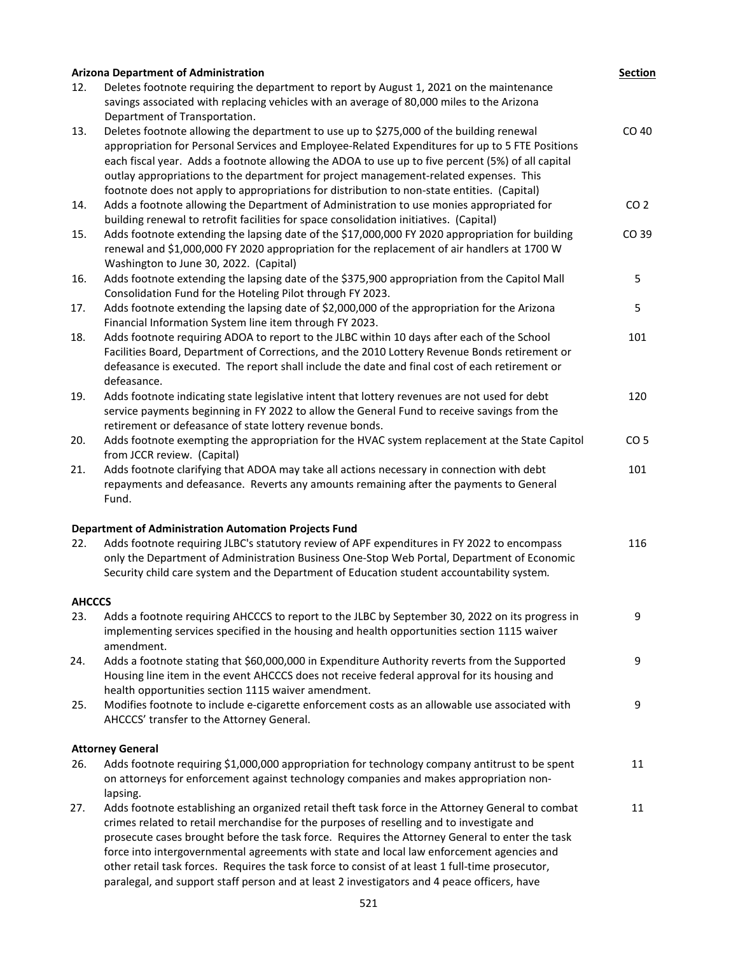|               | <b>Arizona Department of Administration</b>                                                                                                                                                | <b>Section</b>  |
|---------------|--------------------------------------------------------------------------------------------------------------------------------------------------------------------------------------------|-----------------|
| 12.           | Deletes footnote requiring the department to report by August 1, 2021 on the maintenance<br>savings associated with replacing vehicles with an average of 80,000 miles to the Arizona      |                 |
|               | Department of Transportation.                                                                                                                                                              |                 |
| 13.           | Deletes footnote allowing the department to use up to \$275,000 of the building renewal<br>appropriation for Personal Services and Employee-Related Expenditures for up to 5 FTE Positions | CO 40           |
|               | each fiscal year. Adds a footnote allowing the ADOA to use up to five percent (5%) of all capital                                                                                          |                 |
|               | outlay appropriations to the department for project management-related expenses. This                                                                                                      |                 |
|               | footnote does not apply to appropriations for distribution to non-state entities. (Capital)                                                                                                |                 |
| 14.           | Adds a footnote allowing the Department of Administration to use monies appropriated for                                                                                                   | CO <sub>2</sub> |
|               | building renewal to retrofit facilities for space consolidation initiatives. (Capital)                                                                                                     |                 |
| 15.           | Adds footnote extending the lapsing date of the \$17,000,000 FY 2020 appropriation for building                                                                                            | CO 39           |
|               | renewal and \$1,000,000 FY 2020 appropriation for the replacement of air handlers at 1700 W<br>Washington to June 30, 2022. (Capital)                                                      |                 |
| 16.           | Adds footnote extending the lapsing date of the \$375,900 appropriation from the Capitol Mall                                                                                              | 5               |
|               | Consolidation Fund for the Hoteling Pilot through FY 2023.                                                                                                                                 |                 |
| 17.           | Adds footnote extending the lapsing date of \$2,000,000 of the appropriation for the Arizona                                                                                               | 5               |
|               | Financial Information System line item through FY 2023.                                                                                                                                    |                 |
| 18.           | Adds footnote requiring ADOA to report to the JLBC within 10 days after each of the School                                                                                                 | 101             |
|               | Facilities Board, Department of Corrections, and the 2010 Lottery Revenue Bonds retirement or                                                                                              |                 |
|               | defeasance is executed. The report shall include the date and final cost of each retirement or                                                                                             |                 |
|               | defeasance.                                                                                                                                                                                |                 |
| 19.           | Adds footnote indicating state legislative intent that lottery revenues are not used for debt                                                                                              | 120             |
|               | service payments beginning in FY 2022 to allow the General Fund to receive savings from the                                                                                                |                 |
|               | retirement or defeasance of state lottery revenue bonds.                                                                                                                                   |                 |
| 20.           | Adds footnote exempting the appropriation for the HVAC system replacement at the State Capitol                                                                                             | CO <sub>5</sub> |
|               | from JCCR review. (Capital)                                                                                                                                                                |                 |
| 21.           | Adds footnote clarifying that ADOA may take all actions necessary in connection with debt                                                                                                  | 101             |
|               | repayments and defeasance. Reverts any amounts remaining after the payments to General<br>Fund.                                                                                            |                 |
|               | <b>Department of Administration Automation Projects Fund</b>                                                                                                                               |                 |
| 22.           | Adds footnote requiring JLBC's statutory review of APF expenditures in FY 2022 to encompass                                                                                                | 116             |
|               | only the Department of Administration Business One-Stop Web Portal, Department of Economic                                                                                                 |                 |
|               | Security child care system and the Department of Education student accountability system.                                                                                                  |                 |
| <b>AHCCCS</b> |                                                                                                                                                                                            |                 |
| 23.           | Adds a footnote requiring AHCCCS to report to the JLBC by September 30, 2022 on its progress in                                                                                            | 9               |
|               | implementing services specified in the housing and health opportunities section 1115 waiver<br>amendment.                                                                                  |                 |
| 24.           | Adds a footnote stating that \$60,000,000 in Expenditure Authority reverts from the Supported                                                                                              | 9               |
|               | Housing line item in the event AHCCCS does not receive federal approval for its housing and                                                                                                |                 |
|               | health opportunities section 1115 waiver amendment.                                                                                                                                        |                 |
| 25.           | Modifies footnote to include e-cigarette enforcement costs as an allowable use associated with                                                                                             | 9               |
|               | AHCCCS' transfer to the Attorney General.                                                                                                                                                  |                 |
|               | <b>Attorney General</b>                                                                                                                                                                    |                 |
| 26.           | Adds footnote requiring \$1,000,000 appropriation for technology company antitrust to be spent                                                                                             | 11              |
|               | on attorneys for enforcement against technology companies and makes appropriation non-<br>lapsing.                                                                                         |                 |
| 27.           | Adds footnote establishing an organized retail theft task force in the Attorney General to combat                                                                                          | 11              |
|               | crimes related to retail merchandise for the purposes of reselling and to investigate and                                                                                                  |                 |
|               | prosecute cases brought before the task force. Requires the Attorney General to enter the task                                                                                             |                 |
|               | force into intergovernmental agreements with state and local law enforcement agencies and                                                                                                  |                 |
|               | other retail task forces. Requires the task force to consist of at least 1 full-time prosecutor,                                                                                           |                 |
|               | paralegal, and support staff person and at least 2 investigators and 4 peace officers, have                                                                                                |                 |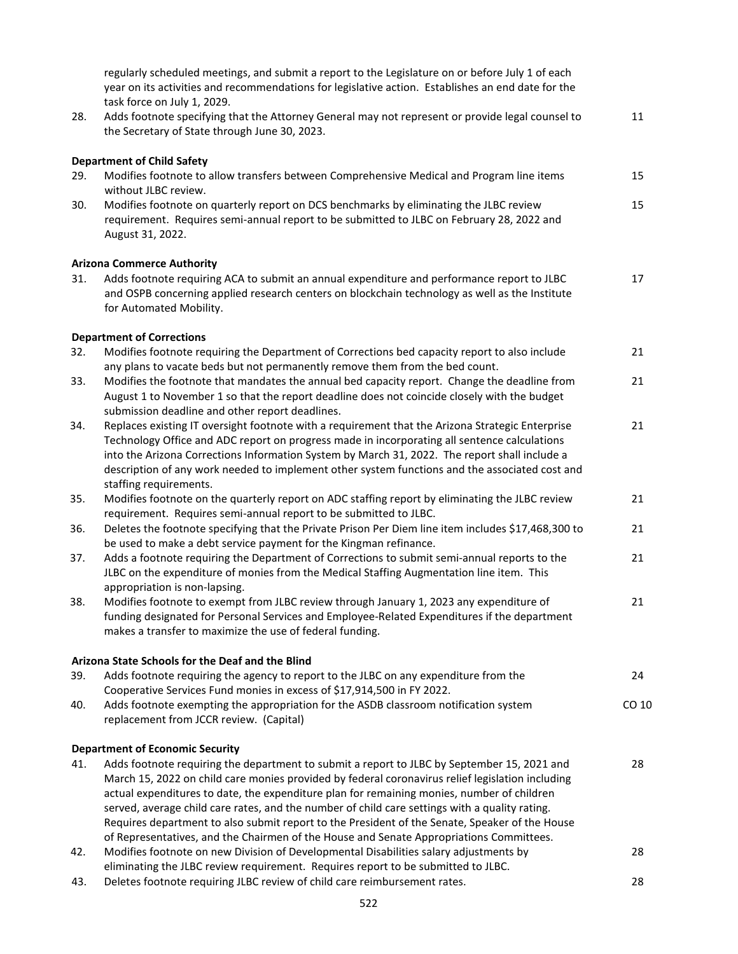|     | regularly scheduled meetings, and submit a report to the Legislature on or before July 1 of each<br>year on its activities and recommendations for legislative action. Establishes an end date for the<br>task force on July 1, 2029.                                                                                                                                                           |       |
|-----|-------------------------------------------------------------------------------------------------------------------------------------------------------------------------------------------------------------------------------------------------------------------------------------------------------------------------------------------------------------------------------------------------|-------|
| 28. | Adds footnote specifying that the Attorney General may not represent or provide legal counsel to<br>the Secretary of State through June 30, 2023.                                                                                                                                                                                                                                               | 11    |
| 29. | <b>Department of Child Safety</b><br>Modifies footnote to allow transfers between Comprehensive Medical and Program line items<br>without JLBC review.                                                                                                                                                                                                                                          | 15    |
| 30. | Modifies footnote on quarterly report on DCS benchmarks by eliminating the JLBC review<br>requirement. Requires semi-annual report to be submitted to JLBC on February 28, 2022 and<br>August 31, 2022.                                                                                                                                                                                         | 15    |
|     | <b>Arizona Commerce Authority</b>                                                                                                                                                                                                                                                                                                                                                               |       |
| 31. | Adds footnote requiring ACA to submit an annual expenditure and performance report to JLBC<br>and OSPB concerning applied research centers on blockchain technology as well as the Institute<br>for Automated Mobility.                                                                                                                                                                         | 17    |
|     | <b>Department of Corrections</b>                                                                                                                                                                                                                                                                                                                                                                |       |
| 32. | Modifies footnote requiring the Department of Corrections bed capacity report to also include<br>any plans to vacate beds but not permanently remove them from the bed count.                                                                                                                                                                                                                   | 21    |
| 33. | Modifies the footnote that mandates the annual bed capacity report. Change the deadline from<br>August 1 to November 1 so that the report deadline does not coincide closely with the budget<br>submission deadline and other report deadlines.                                                                                                                                                 | 21    |
| 34. | Replaces existing IT oversight footnote with a requirement that the Arizona Strategic Enterprise<br>Technology Office and ADC report on progress made in incorporating all sentence calculations<br>into the Arizona Corrections Information System by March 31, 2022. The report shall include a                                                                                               | 21    |
|     | description of any work needed to implement other system functions and the associated cost and                                                                                                                                                                                                                                                                                                  |       |
| 35. | staffing requirements.<br>Modifies footnote on the quarterly report on ADC staffing report by eliminating the JLBC review<br>requirement. Requires semi-annual report to be submitted to JLBC.                                                                                                                                                                                                  | 21    |
| 36. | Deletes the footnote specifying that the Private Prison Per Diem line item includes \$17,468,300 to<br>be used to make a debt service payment for the Kingman refinance.                                                                                                                                                                                                                        | 21    |
| 37. | Adds a footnote requiring the Department of Corrections to submit semi-annual reports to the<br>JLBC on the expenditure of monies from the Medical Staffing Augmentation line item. This<br>appropriation is non-lapsing.                                                                                                                                                                       | 21    |
| 38. | Modifies footnote to exempt from JLBC review through January 1, 2023 any expenditure of<br>funding designated for Personal Services and Employee-Related Expenditures if the department<br>makes a transfer to maximize the use of federal funding.                                                                                                                                             | 21    |
|     | Arizona State Schools for the Deaf and the Blind                                                                                                                                                                                                                                                                                                                                                |       |
| 39. | Adds footnote requiring the agency to report to the JLBC on any expenditure from the<br>Cooperative Services Fund monies in excess of \$17,914,500 in FY 2022.                                                                                                                                                                                                                                  | 24    |
| 40. | Adds footnote exempting the appropriation for the ASDB classroom notification system<br>replacement from JCCR review. (Capital)                                                                                                                                                                                                                                                                 | CO 10 |
|     |                                                                                                                                                                                                                                                                                                                                                                                                 |       |
|     | <b>Department of Economic Security</b>                                                                                                                                                                                                                                                                                                                                                          |       |
| 41. | Adds footnote requiring the department to submit a report to JLBC by September 15, 2021 and<br>March 15, 2022 on child care monies provided by federal coronavirus relief legislation including<br>actual expenditures to date, the expenditure plan for remaining monies, number of children<br>served, average child care rates, and the number of child care settings with a quality rating. | 28    |
|     | Requires department to also submit report to the President of the Senate, Speaker of the House                                                                                                                                                                                                                                                                                                  |       |
| 42. | of Representatives, and the Chairmen of the House and Senate Appropriations Committees.<br>Modifies footnote on new Division of Developmental Disabilities salary adjustments by<br>eliminating the JLBC review requirement. Requires report to be submitted to JLBC.                                                                                                                           | 28    |
|     |                                                                                                                                                                                                                                                                                                                                                                                                 |       |

43. Deletes footnote requiring JLBC review of child care reimbursement rates. 28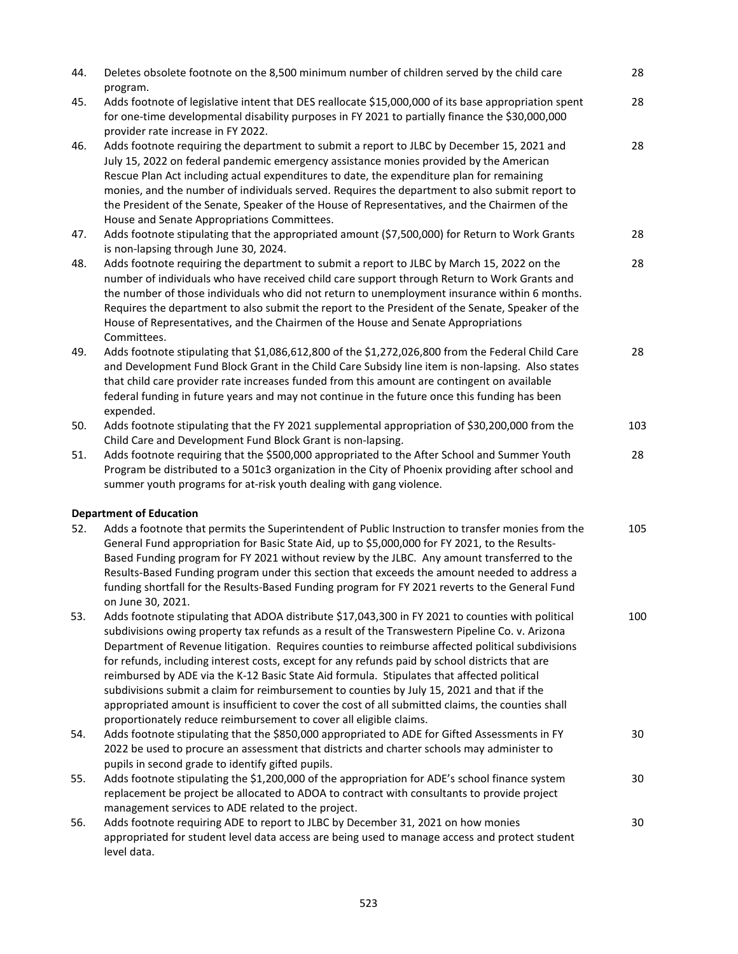| 44. | Deletes obsolete footnote on the 8,500 minimum number of children served by the child care<br>program.                                                                                                                                                                                                                                                                                                                                                                                                                                                                                                                                                                                                                                                                             | 28  |
|-----|------------------------------------------------------------------------------------------------------------------------------------------------------------------------------------------------------------------------------------------------------------------------------------------------------------------------------------------------------------------------------------------------------------------------------------------------------------------------------------------------------------------------------------------------------------------------------------------------------------------------------------------------------------------------------------------------------------------------------------------------------------------------------------|-----|
| 45. | Adds footnote of legislative intent that DES reallocate \$15,000,000 of its base appropriation spent<br>for one-time developmental disability purposes in FY 2021 to partially finance the \$30,000,000<br>provider rate increase in FY 2022.                                                                                                                                                                                                                                                                                                                                                                                                                                                                                                                                      | 28  |
| 46. | Adds footnote requiring the department to submit a report to JLBC by December 15, 2021 and<br>July 15, 2022 on federal pandemic emergency assistance monies provided by the American<br>Rescue Plan Act including actual expenditures to date, the expenditure plan for remaining<br>monies, and the number of individuals served. Requires the department to also submit report to<br>the President of the Senate, Speaker of the House of Representatives, and the Chairmen of the<br>House and Senate Appropriations Committees.                                                                                                                                                                                                                                                | 28  |
| 47. | Adds footnote stipulating that the appropriated amount (\$7,500,000) for Return to Work Grants<br>is non-lapsing through June 30, 2024.                                                                                                                                                                                                                                                                                                                                                                                                                                                                                                                                                                                                                                            | 28  |
| 48. | Adds footnote requiring the department to submit a report to JLBC by March 15, 2022 on the<br>number of individuals who have received child care support through Return to Work Grants and<br>the number of those individuals who did not return to unemployment insurance within 6 months.<br>Requires the department to also submit the report to the President of the Senate, Speaker of the<br>House of Representatives, and the Chairmen of the House and Senate Appropriations<br>Committees.                                                                                                                                                                                                                                                                                | 28  |
| 49. | Adds footnote stipulating that \$1,086,612,800 of the \$1,272,026,800 from the Federal Child Care<br>and Development Fund Block Grant in the Child Care Subsidy line item is non-lapsing. Also states<br>that child care provider rate increases funded from this amount are contingent on available<br>federal funding in future years and may not continue in the future once this funding has been<br>expended.                                                                                                                                                                                                                                                                                                                                                                 | 28  |
| 50. | Adds footnote stipulating that the FY 2021 supplemental appropriation of \$30,200,000 from the<br>Child Care and Development Fund Block Grant is non-lapsing.                                                                                                                                                                                                                                                                                                                                                                                                                                                                                                                                                                                                                      | 103 |
| 51. | Adds footnote requiring that the \$500,000 appropriated to the After School and Summer Youth<br>Program be distributed to a 501c3 organization in the City of Phoenix providing after school and<br>summer youth programs for at-risk youth dealing with gang violence.                                                                                                                                                                                                                                                                                                                                                                                                                                                                                                            | 28  |
|     | <b>Department of Education</b>                                                                                                                                                                                                                                                                                                                                                                                                                                                                                                                                                                                                                                                                                                                                                     |     |
| 52. | Adds a footnote that permits the Superintendent of Public Instruction to transfer monies from the<br>General Fund appropriation for Basic State Aid, up to \$5,000,000 for FY 2021, to the Results-<br>Based Funding program for FY 2021 without review by the JLBC. Any amount transferred to the<br>Results-Based Funding program under this section that exceeds the amount needed to address a<br>funding shortfall for the Results-Based Funding program for FY 2021 reverts to the General Fund<br>on June 30, 2021.                                                                                                                                                                                                                                                         | 105 |
| 53. | Adds footnote stipulating that ADOA distribute \$17,043,300 in FY 2021 to counties with political<br>subdivisions owing property tax refunds as a result of the Transwestern Pipeline Co. v. Arizona<br>Department of Revenue litigation. Requires counties to reimburse affected political subdivisions<br>for refunds, including interest costs, except for any refunds paid by school districts that are<br>reimbursed by ADE via the K-12 Basic State Aid formula. Stipulates that affected political<br>subdivisions submit a claim for reimbursement to counties by July 15, 2021 and that if the<br>appropriated amount is insufficient to cover the cost of all submitted claims, the counties shall<br>proportionately reduce reimbursement to cover all eligible claims. | 100 |
| 54. | Adds footnote stipulating that the \$850,000 appropriated to ADE for Gifted Assessments in FY<br>2022 be used to procure an assessment that districts and charter schools may administer to<br>pupils in second grade to identify gifted pupils.                                                                                                                                                                                                                                                                                                                                                                                                                                                                                                                                   | 30  |
| 55. | Adds footnote stipulating the \$1,200,000 of the appropriation for ADE's school finance system<br>replacement be project be allocated to ADOA to contract with consultants to provide project<br>management services to ADE related to the project.                                                                                                                                                                                                                                                                                                                                                                                                                                                                                                                                | 30  |
| 56. | Adds footnote requiring ADE to report to JLBC by December 31, 2021 on how monies<br>appropriated for student level data access are being used to manage access and protect student<br>level data.                                                                                                                                                                                                                                                                                                                                                                                                                                                                                                                                                                                  | 30  |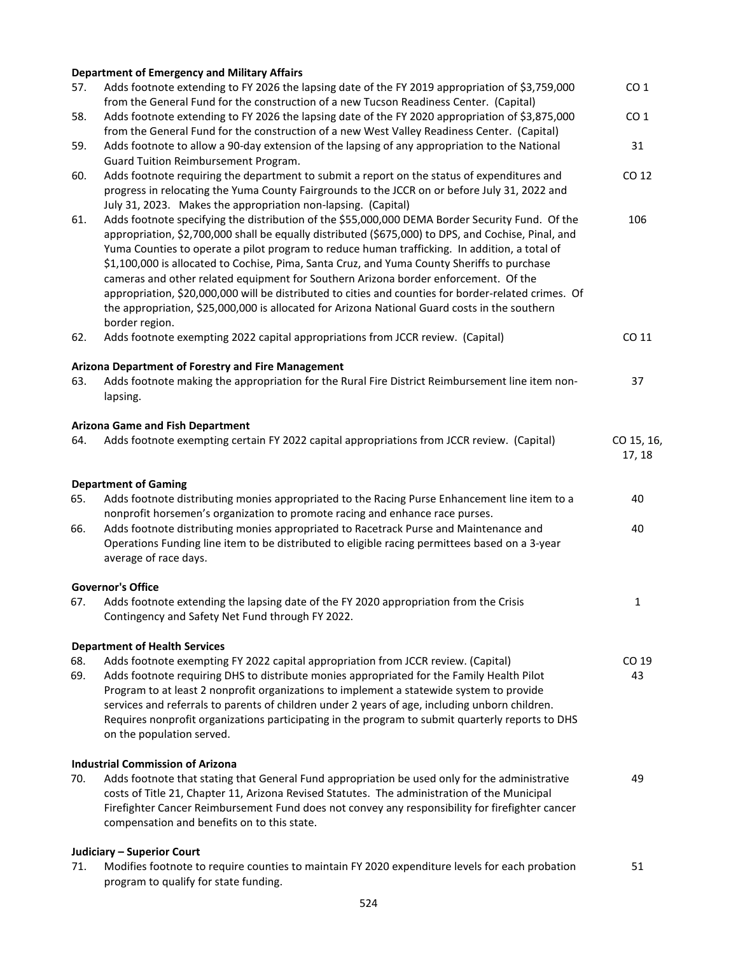### **Department of Emergency and Military Affairs**

| 57. | Adds footnote extending to FY 2026 the lapsing date of the FY 2019 appropriation of \$3,759,000                                                                                                                                                                                                                                                                                                                                                                                                                                                                                                                                                                                                                          | CO <sub>1</sub>      |
|-----|--------------------------------------------------------------------------------------------------------------------------------------------------------------------------------------------------------------------------------------------------------------------------------------------------------------------------------------------------------------------------------------------------------------------------------------------------------------------------------------------------------------------------------------------------------------------------------------------------------------------------------------------------------------------------------------------------------------------------|----------------------|
| 58. | from the General Fund for the construction of a new Tucson Readiness Center. (Capital)<br>Adds footnote extending to FY 2026 the lapsing date of the FY 2020 appropriation of \$3,875,000                                                                                                                                                                                                                                                                                                                                                                                                                                                                                                                                | CO <sub>1</sub>      |
| 59. | from the General Fund for the construction of a new West Valley Readiness Center. (Capital)<br>Adds footnote to allow a 90-day extension of the lapsing of any appropriation to the National                                                                                                                                                                                                                                                                                                                                                                                                                                                                                                                             | 31                   |
|     | Guard Tuition Reimbursement Program.                                                                                                                                                                                                                                                                                                                                                                                                                                                                                                                                                                                                                                                                                     |                      |
| 60. | Adds footnote requiring the department to submit a report on the status of expenditures and                                                                                                                                                                                                                                                                                                                                                                                                                                                                                                                                                                                                                              | CO 12                |
|     | progress in relocating the Yuma County Fairgrounds to the JCCR on or before July 31, 2022 and                                                                                                                                                                                                                                                                                                                                                                                                                                                                                                                                                                                                                            |                      |
|     | July 31, 2023. Makes the appropriation non-lapsing. (Capital)                                                                                                                                                                                                                                                                                                                                                                                                                                                                                                                                                                                                                                                            |                      |
| 61. | Adds footnote specifying the distribution of the \$55,000,000 DEMA Border Security Fund. Of the<br>appropriation, \$2,700,000 shall be equally distributed (\$675,000) to DPS, and Cochise, Pinal, and<br>Yuma Counties to operate a pilot program to reduce human trafficking. In addition, a total of<br>\$1,100,000 is allocated to Cochise, Pima, Santa Cruz, and Yuma County Sheriffs to purchase<br>cameras and other related equipment for Southern Arizona border enforcement. Of the<br>appropriation, \$20,000,000 will be distributed to cities and counties for border-related crimes. Of<br>the appropriation, \$25,000,000 is allocated for Arizona National Guard costs in the southern<br>border region. | 106                  |
| 62. | Adds footnote exempting 2022 capital appropriations from JCCR review. (Capital)                                                                                                                                                                                                                                                                                                                                                                                                                                                                                                                                                                                                                                          | CO 11                |
|     |                                                                                                                                                                                                                                                                                                                                                                                                                                                                                                                                                                                                                                                                                                                          |                      |
|     | Arizona Department of Forestry and Fire Management                                                                                                                                                                                                                                                                                                                                                                                                                                                                                                                                                                                                                                                                       |                      |
| 63. | Adds footnote making the appropriation for the Rural Fire District Reimbursement line item non-<br>lapsing.                                                                                                                                                                                                                                                                                                                                                                                                                                                                                                                                                                                                              | 37                   |
|     |                                                                                                                                                                                                                                                                                                                                                                                                                                                                                                                                                                                                                                                                                                                          |                      |
|     | <b>Arizona Game and Fish Department</b>                                                                                                                                                                                                                                                                                                                                                                                                                                                                                                                                                                                                                                                                                  |                      |
| 64. | Adds footnote exempting certain FY 2022 capital appropriations from JCCR review. (Capital)                                                                                                                                                                                                                                                                                                                                                                                                                                                                                                                                                                                                                               | CO 15, 16,<br>17, 18 |
|     |                                                                                                                                                                                                                                                                                                                                                                                                                                                                                                                                                                                                                                                                                                                          |                      |
|     | <b>Department of Gaming</b>                                                                                                                                                                                                                                                                                                                                                                                                                                                                                                                                                                                                                                                                                              |                      |
| 65. | Adds footnote distributing monies appropriated to the Racing Purse Enhancement line item to a                                                                                                                                                                                                                                                                                                                                                                                                                                                                                                                                                                                                                            | 40                   |
|     | nonprofit horsemen's organization to promote racing and enhance race purses.                                                                                                                                                                                                                                                                                                                                                                                                                                                                                                                                                                                                                                             |                      |
| 66. | Adds footnote distributing monies appropriated to Racetrack Purse and Maintenance and<br>Operations Funding line item to be distributed to eligible racing permittees based on a 3-year                                                                                                                                                                                                                                                                                                                                                                                                                                                                                                                                  | 40                   |
|     | average of race days.                                                                                                                                                                                                                                                                                                                                                                                                                                                                                                                                                                                                                                                                                                    |                      |
|     |                                                                                                                                                                                                                                                                                                                                                                                                                                                                                                                                                                                                                                                                                                                          |                      |
| 67. | <b>Governor's Office</b><br>Adds footnote extending the lapsing date of the FY 2020 appropriation from the Crisis                                                                                                                                                                                                                                                                                                                                                                                                                                                                                                                                                                                                        | 1                    |
|     | Contingency and Safety Net Fund through FY 2022.                                                                                                                                                                                                                                                                                                                                                                                                                                                                                                                                                                                                                                                                         |                      |
|     |                                                                                                                                                                                                                                                                                                                                                                                                                                                                                                                                                                                                                                                                                                                          |                      |
| 68. | <b>Department of Health Services</b><br>Adds footnote exempting FY 2022 capital appropriation from JCCR review. (Capital)                                                                                                                                                                                                                                                                                                                                                                                                                                                                                                                                                                                                | CO 19                |
| 69. | Adds footnote requiring DHS to distribute monies appropriated for the Family Health Pilot                                                                                                                                                                                                                                                                                                                                                                                                                                                                                                                                                                                                                                | 43                   |
|     | Program to at least 2 nonprofit organizations to implement a statewide system to provide                                                                                                                                                                                                                                                                                                                                                                                                                                                                                                                                                                                                                                 |                      |
|     | services and referrals to parents of children under 2 years of age, including unborn children.                                                                                                                                                                                                                                                                                                                                                                                                                                                                                                                                                                                                                           |                      |
|     | Requires nonprofit organizations participating in the program to submit quarterly reports to DHS                                                                                                                                                                                                                                                                                                                                                                                                                                                                                                                                                                                                                         |                      |
|     | on the population served.                                                                                                                                                                                                                                                                                                                                                                                                                                                                                                                                                                                                                                                                                                |                      |
|     | <b>Industrial Commission of Arizona</b>                                                                                                                                                                                                                                                                                                                                                                                                                                                                                                                                                                                                                                                                                  |                      |
| 70. | Adds footnote that stating that General Fund appropriation be used only for the administrative                                                                                                                                                                                                                                                                                                                                                                                                                                                                                                                                                                                                                           | 49                   |
|     | costs of Title 21, Chapter 11, Arizona Revised Statutes. The administration of the Municipal                                                                                                                                                                                                                                                                                                                                                                                                                                                                                                                                                                                                                             |                      |
|     | Firefighter Cancer Reimbursement Fund does not convey any responsibility for firefighter cancer                                                                                                                                                                                                                                                                                                                                                                                                                                                                                                                                                                                                                          |                      |
|     | compensation and benefits on to this state.                                                                                                                                                                                                                                                                                                                                                                                                                                                                                                                                                                                                                                                                              |                      |
|     | Judiciary - Superior Court                                                                                                                                                                                                                                                                                                                                                                                                                                                                                                                                                                                                                                                                                               |                      |
| 71. | Modifies footnote to require counties to maintain FY 2020 expenditure levels for each probation                                                                                                                                                                                                                                                                                                                                                                                                                                                                                                                                                                                                                          | 51                   |
|     | program to qualify for state funding.                                                                                                                                                                                                                                                                                                                                                                                                                                                                                                                                                                                                                                                                                    |                      |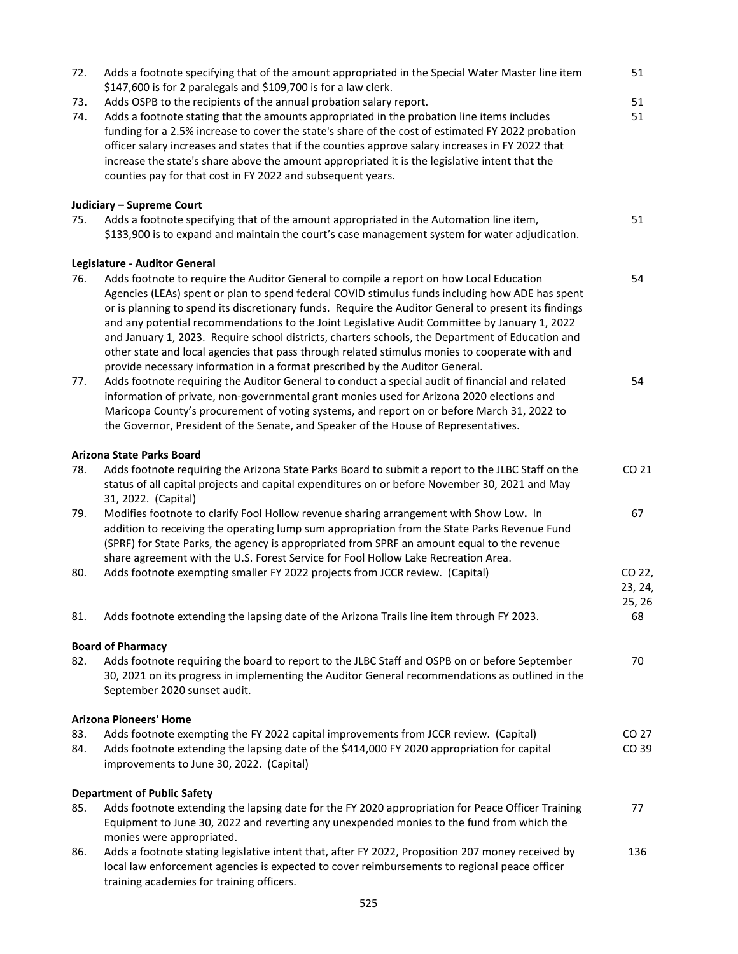| 72.<br>73. | Adds a footnote specifying that of the amount appropriated in the Special Water Master line item<br>\$147,600 is for 2 paralegals and \$109,700 is for a law clerk.<br>Adds OSPB to the recipients of the annual probation salary report.                                                                                                                                                                                                                                                                                                                                                                                                                                                 | 51<br>51                    |
|------------|-------------------------------------------------------------------------------------------------------------------------------------------------------------------------------------------------------------------------------------------------------------------------------------------------------------------------------------------------------------------------------------------------------------------------------------------------------------------------------------------------------------------------------------------------------------------------------------------------------------------------------------------------------------------------------------------|-----------------------------|
| 74.        | Adds a footnote stating that the amounts appropriated in the probation line items includes<br>funding for a 2.5% increase to cover the state's share of the cost of estimated FY 2022 probation<br>officer salary increases and states that if the counties approve salary increases in FY 2022 that<br>increase the state's share above the amount appropriated it is the legislative intent that the<br>counties pay for that cost in FY 2022 and subsequent years.                                                                                                                                                                                                                     | 51                          |
|            | Judiciary - Supreme Court                                                                                                                                                                                                                                                                                                                                                                                                                                                                                                                                                                                                                                                                 |                             |
| 75.        | Adds a footnote specifying that of the amount appropriated in the Automation line item,<br>\$133,900 is to expand and maintain the court's case management system for water adjudication.                                                                                                                                                                                                                                                                                                                                                                                                                                                                                                 | 51                          |
|            | Legislature - Auditor General                                                                                                                                                                                                                                                                                                                                                                                                                                                                                                                                                                                                                                                             |                             |
| 76.        | Adds footnote to require the Auditor General to compile a report on how Local Education<br>Agencies (LEAs) spent or plan to spend federal COVID stimulus funds including how ADE has spent<br>or is planning to spend its discretionary funds. Require the Auditor General to present its findings<br>and any potential recommendations to the Joint Legislative Audit Committee by January 1, 2022<br>and January 1, 2023. Require school districts, charters schools, the Department of Education and<br>other state and local agencies that pass through related stimulus monies to cooperate with and<br>provide necessary information in a format prescribed by the Auditor General. | 54                          |
| 77.        | Adds footnote requiring the Auditor General to conduct a special audit of financial and related<br>information of private, non-governmental grant monies used for Arizona 2020 elections and<br>Maricopa County's procurement of voting systems, and report on or before March 31, 2022 to<br>the Governor, President of the Senate, and Speaker of the House of Representatives.                                                                                                                                                                                                                                                                                                         | 54                          |
|            | <b>Arizona State Parks Board</b>                                                                                                                                                                                                                                                                                                                                                                                                                                                                                                                                                                                                                                                          |                             |
| 78.        | Adds footnote requiring the Arizona State Parks Board to submit a report to the JLBC Staff on the<br>status of all capital projects and capital expenditures on or before November 30, 2021 and May<br>31, 2022. (Capital)                                                                                                                                                                                                                                                                                                                                                                                                                                                                | CO 21                       |
| 79.        | Modifies footnote to clarify Fool Hollow revenue sharing arrangement with Show Low. In<br>addition to receiving the operating lump sum appropriation from the State Parks Revenue Fund<br>(SPRF) for State Parks, the agency is appropriated from SPRF an amount equal to the revenue<br>share agreement with the U.S. Forest Service for Fool Hollow Lake Recreation Area.                                                                                                                                                                                                                                                                                                               | 67                          |
| 80.        | Adds footnote exempting smaller FY 2022 projects from JCCR review. (Capital)                                                                                                                                                                                                                                                                                                                                                                                                                                                                                                                                                                                                              | CO 22,<br>23, 24,<br>25, 26 |
| 81.        | Adds footnote extending the lapsing date of the Arizona Trails line item through FY 2023.                                                                                                                                                                                                                                                                                                                                                                                                                                                                                                                                                                                                 | 68                          |
|            | <b>Board of Pharmacy</b>                                                                                                                                                                                                                                                                                                                                                                                                                                                                                                                                                                                                                                                                  |                             |
| 82.        | Adds footnote requiring the board to report to the JLBC Staff and OSPB on or before September<br>30, 2021 on its progress in implementing the Auditor General recommendations as outlined in the<br>September 2020 sunset audit.                                                                                                                                                                                                                                                                                                                                                                                                                                                          | 70                          |
|            | <b>Arizona Pioneers' Home</b>                                                                                                                                                                                                                                                                                                                                                                                                                                                                                                                                                                                                                                                             |                             |
| 83.<br>84. | Adds footnote exempting the FY 2022 capital improvements from JCCR review. (Capital)<br>Adds footnote extending the lapsing date of the \$414,000 FY 2020 appropriation for capital<br>improvements to June 30, 2022. (Capital)                                                                                                                                                                                                                                                                                                                                                                                                                                                           | CO 27<br>CO 39              |
|            | <b>Department of Public Safety</b>                                                                                                                                                                                                                                                                                                                                                                                                                                                                                                                                                                                                                                                        |                             |
| 85.        | Adds footnote extending the lapsing date for the FY 2020 appropriation for Peace Officer Training<br>Equipment to June 30, 2022 and reverting any unexpended monies to the fund from which the<br>monies were appropriated.                                                                                                                                                                                                                                                                                                                                                                                                                                                               | 77                          |
| 86.        | Adds a footnote stating legislative intent that, after FY 2022, Proposition 207 money received by<br>local law enforcement agencies is expected to cover reimbursements to regional peace officer<br>training academies for training officers.                                                                                                                                                                                                                                                                                                                                                                                                                                            | 136                         |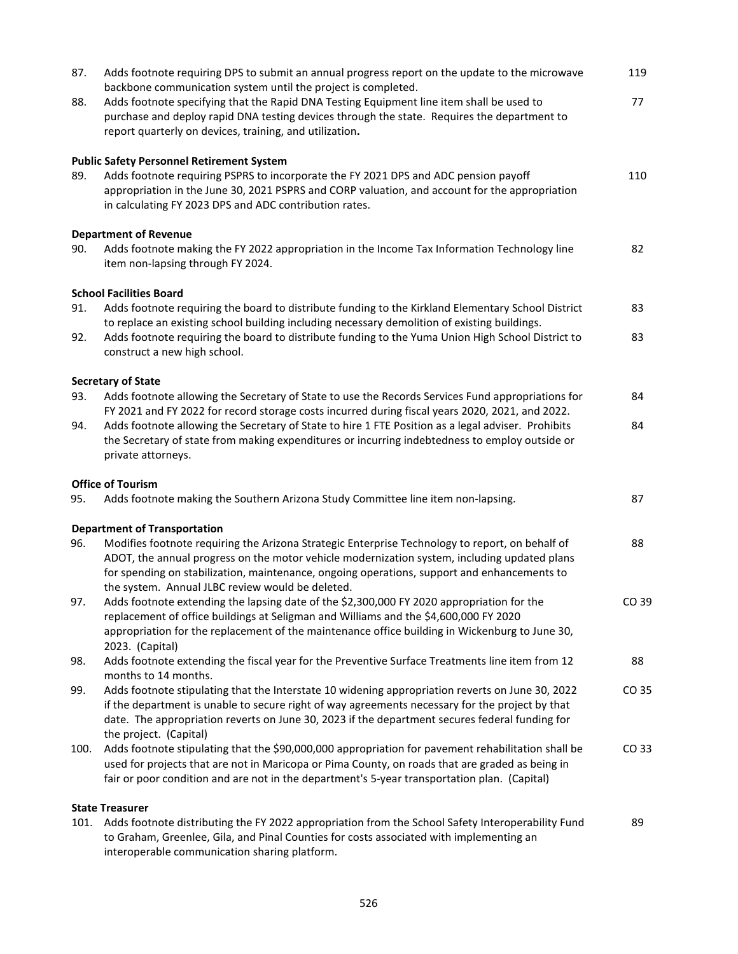| 87.  | Adds footnote requiring DPS to submit an annual progress report on the update to the microwave<br>backbone communication system until the project is completed.                                                                                                                                     | 119   |
|------|-----------------------------------------------------------------------------------------------------------------------------------------------------------------------------------------------------------------------------------------------------------------------------------------------------|-------|
| 88.  | Adds footnote specifying that the Rapid DNA Testing Equipment line item shall be used to<br>purchase and deploy rapid DNA testing devices through the state. Requires the department to<br>report quarterly on devices, training, and utilization.                                                  | 77    |
|      |                                                                                                                                                                                                                                                                                                     |       |
| 89.  | <b>Public Safety Personnel Retirement System</b><br>Adds footnote requiring PSPRS to incorporate the FY 2021 DPS and ADC pension payoff<br>appropriation in the June 30, 2021 PSPRS and CORP valuation, and account for the appropriation<br>in calculating FY 2023 DPS and ADC contribution rates. | 110   |
|      | <b>Department of Revenue</b>                                                                                                                                                                                                                                                                        |       |
| 90.  | Adds footnote making the FY 2022 appropriation in the Income Tax Information Technology line<br>item non-lapsing through FY 2024.                                                                                                                                                                   | 82    |
|      | <b>School Facilities Board</b>                                                                                                                                                                                                                                                                      |       |
| 91.  | Adds footnote requiring the board to distribute funding to the Kirkland Elementary School District<br>to replace an existing school building including necessary demolition of existing buildings.                                                                                                  | 83    |
| 92.  | Adds footnote requiring the board to distribute funding to the Yuma Union High School District to<br>construct a new high school.                                                                                                                                                                   | 83    |
|      | <b>Secretary of State</b>                                                                                                                                                                                                                                                                           |       |
| 93.  | Adds footnote allowing the Secretary of State to use the Records Services Fund appropriations for<br>FY 2021 and FY 2022 for record storage costs incurred during fiscal years 2020, 2021, and 2022.                                                                                                | 84    |
| 94.  | Adds footnote allowing the Secretary of State to hire 1 FTE Position as a legal adviser. Prohibits                                                                                                                                                                                                  | 84    |
|      | the Secretary of state from making expenditures or incurring indebtedness to employ outside or<br>private attorneys.                                                                                                                                                                                |       |
|      | <b>Office of Tourism</b>                                                                                                                                                                                                                                                                            |       |
| 95.  |                                                                                                                                                                                                                                                                                                     |       |
|      | Adds footnote making the Southern Arizona Study Committee line item non-lapsing.                                                                                                                                                                                                                    | 87    |
|      |                                                                                                                                                                                                                                                                                                     |       |
| 96.  | <b>Department of Transportation</b><br>Modifies footnote requiring the Arizona Strategic Enterprise Technology to report, on behalf of                                                                                                                                                              | 88    |
|      | ADOT, the annual progress on the motor vehicle modernization system, including updated plans                                                                                                                                                                                                        |       |
|      | for spending on stabilization, maintenance, ongoing operations, support and enhancements to                                                                                                                                                                                                         |       |
|      | the system. Annual JLBC review would be deleted.                                                                                                                                                                                                                                                    |       |
| 97.  | Adds footnote extending the lapsing date of the \$2,300,000 FY 2020 appropriation for the<br>replacement of office buildings at Seligman and Williams and the \$4,600,000 FY 2020                                                                                                                   | CO 39 |
|      | appropriation for the replacement of the maintenance office building in Wickenburg to June 30,                                                                                                                                                                                                      |       |
|      | 2023. (Capital)                                                                                                                                                                                                                                                                                     |       |
| 98.  | Adds footnote extending the fiscal year for the Preventive Surface Treatments line item from 12                                                                                                                                                                                                     | 88    |
| 99.  | months to 14 months.<br>Adds footnote stipulating that the Interstate 10 widening appropriation reverts on June 30, 2022                                                                                                                                                                            | CO 35 |
|      | if the department is unable to secure right of way agreements necessary for the project by that                                                                                                                                                                                                     |       |
|      | date. The appropriation reverts on June 30, 2023 if the department secures federal funding for                                                                                                                                                                                                      |       |
|      | the project. (Capital)                                                                                                                                                                                                                                                                              |       |
| 100. | Adds footnote stipulating that the \$90,000,000 appropriation for pavement rehabilitation shall be                                                                                                                                                                                                  | CO 33 |
|      | used for projects that are not in Maricopa or Pima County, on roads that are graded as being in<br>fair or poor condition and are not in the department's 5-year transportation plan. (Capital)                                                                                                     |       |
|      |                                                                                                                                                                                                                                                                                                     |       |
| 101. | <b>State Treasurer</b><br>Adds footnote distributing the FY 2022 appropriation from the School Safety Interoperability Fund                                                                                                                                                                         | 89    |
|      | to Graham, Greenlee, Gila, and Pinal Counties for costs associated with implementing an<br>interoperable communication sharing platform.                                                                                                                                                            |       |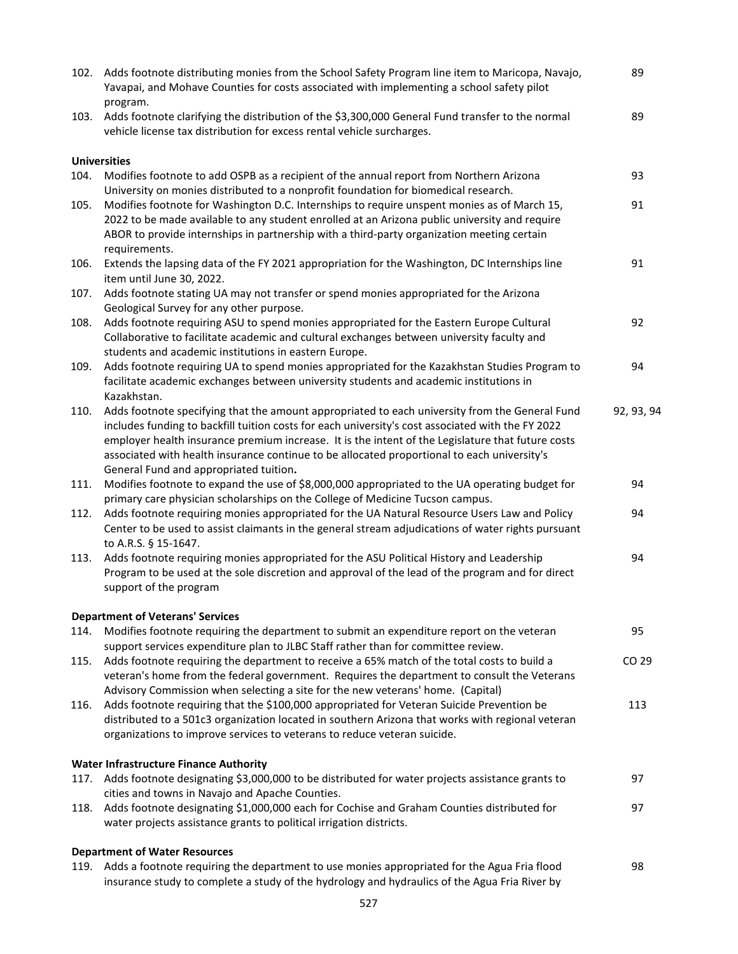| 102. | Adds footnote distributing monies from the School Safety Program line item to Maricopa, Navajo,<br>Yavapai, and Mohave Counties for costs associated with implementing a school safety pilot<br>program.                                                                                                                                                                                                                                          | 89         |
|------|---------------------------------------------------------------------------------------------------------------------------------------------------------------------------------------------------------------------------------------------------------------------------------------------------------------------------------------------------------------------------------------------------------------------------------------------------|------------|
| 103. | Adds footnote clarifying the distribution of the \$3,300,000 General Fund transfer to the normal<br>vehicle license tax distribution for excess rental vehicle surcharges.                                                                                                                                                                                                                                                                        | 89         |
|      | <b>Universities</b>                                                                                                                                                                                                                                                                                                                                                                                                                               |            |
| 104. | Modifies footnote to add OSPB as a recipient of the annual report from Northern Arizona<br>University on monies distributed to a nonprofit foundation for biomedical research.                                                                                                                                                                                                                                                                    | 93         |
| 105. | Modifies footnote for Washington D.C. Internships to require unspent monies as of March 15,<br>2022 to be made available to any student enrolled at an Arizona public university and require<br>ABOR to provide internships in partnership with a third-party organization meeting certain<br>requirements.                                                                                                                                       | 91         |
| 106. | Extends the lapsing data of the FY 2021 appropriation for the Washington, DC Internships line<br>item until June 30, 2022.                                                                                                                                                                                                                                                                                                                        | 91         |
| 107. | Adds footnote stating UA may not transfer or spend monies appropriated for the Arizona<br>Geological Survey for any other purpose.                                                                                                                                                                                                                                                                                                                |            |
| 108. | Adds footnote requiring ASU to spend monies appropriated for the Eastern Europe Cultural<br>Collaborative to facilitate academic and cultural exchanges between university faculty and<br>students and academic institutions in eastern Europe.                                                                                                                                                                                                   | 92         |
| 109. | Adds footnote requiring UA to spend monies appropriated for the Kazakhstan Studies Program to<br>facilitate academic exchanges between university students and academic institutions in<br>Kazakhstan.                                                                                                                                                                                                                                            | 94         |
| 110. | Adds footnote specifying that the amount appropriated to each university from the General Fund<br>includes funding to backfill tuition costs for each university's cost associated with the FY 2022<br>employer health insurance premium increase. It is the intent of the Legislature that future costs<br>associated with health insurance continue to be allocated proportional to each university's<br>General Fund and appropriated tuition. | 92, 93, 94 |
| 111. | Modifies footnote to expand the use of \$8,000,000 appropriated to the UA operating budget for<br>primary care physician scholarships on the College of Medicine Tucson campus.                                                                                                                                                                                                                                                                   | 94         |
| 112. | Adds footnote requiring monies appropriated for the UA Natural Resource Users Law and Policy<br>Center to be used to assist claimants in the general stream adjudications of water rights pursuant<br>to A.R.S. § 15-1647.                                                                                                                                                                                                                        | 94         |
| 113. | Adds footnote requiring monies appropriated for the ASU Political History and Leadership<br>Program to be used at the sole discretion and approval of the lead of the program and for direct<br>support of the program                                                                                                                                                                                                                            | 94         |
|      | <b>Department of Veterans' Services</b>                                                                                                                                                                                                                                                                                                                                                                                                           |            |
| 114. | Modifies footnote requiring the department to submit an expenditure report on the veteran<br>support services expenditure plan to JLBC Staff rather than for committee review.                                                                                                                                                                                                                                                                    | 95         |
| 115. | Adds footnote requiring the department to receive a 65% match of the total costs to build a<br>veteran's home from the federal government. Requires the department to consult the Veterans<br>Advisory Commission when selecting a site for the new veterans' home. (Capital)                                                                                                                                                                     | CO 29      |
| 116. | Adds footnote requiring that the \$100,000 appropriated for Veteran Suicide Prevention be<br>distributed to a 501c3 organization located in southern Arizona that works with regional veteran<br>organizations to improve services to veterans to reduce veteran suicide.                                                                                                                                                                         | 113        |
|      | <b>Water Infrastructure Finance Authority</b>                                                                                                                                                                                                                                                                                                                                                                                                     |            |
|      | 117. Adds footnote designating \$3,000,000 to be distributed for water projects assistance grants to<br>cities and towns in Navajo and Apache Counties.                                                                                                                                                                                                                                                                                           | 97         |
|      | 118. Adds footnote designating \$1,000,000 each for Cochise and Graham Counties distributed for<br>water projects assistance grants to political irrigation districts.                                                                                                                                                                                                                                                                            | 97         |
|      | <b>Department of Water Resources</b>                                                                                                                                                                                                                                                                                                                                                                                                              |            |
|      | 119. Adds a footnote requiring the department to use monies appropriated for the Agua Fria flood<br>insurance study to complete a study of the hydrology and hydraulics of the Agua Fria River by                                                                                                                                                                                                                                                 | 98         |